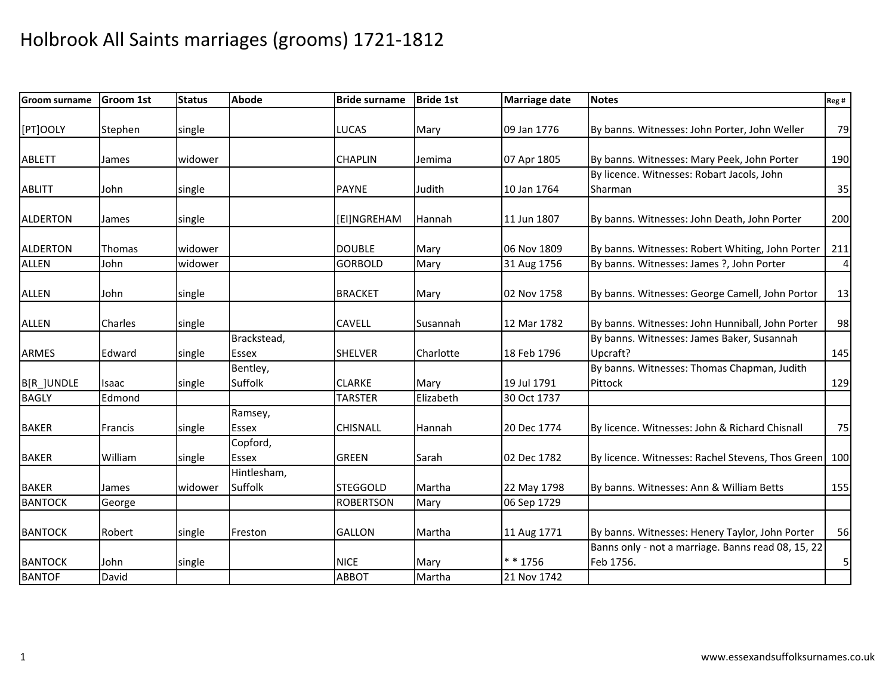| <b>Groom surname</b> | <b>Groom 1st</b> | <b>Status</b> | <b>Abode</b> | <b>Bride surname</b> | <b>Bride 1st</b> | <b>Marriage date</b> | <b>Notes</b>                                       | Reg# |
|----------------------|------------------|---------------|--------------|----------------------|------------------|----------------------|----------------------------------------------------|------|
|                      |                  |               |              |                      |                  |                      |                                                    |      |
| [PT]OOLY             | Stephen          | single        |              | <b>LUCAS</b>         | Mary             | 09 Jan 1776          | By banns. Witnesses: John Porter, John Weller      | 79   |
|                      |                  |               |              |                      |                  |                      |                                                    |      |
| <b>ABLETT</b>        | James            | widower       |              | <b>CHAPLIN</b>       | Jemima           | 07 Apr 1805          | By banns. Witnesses: Mary Peek, John Porter        | 190  |
|                      |                  |               |              |                      |                  |                      | By licence. Witnesses: Robart Jacols, John         |      |
| <b>ABLITT</b>        | John             | single        |              | <b>PAYNE</b>         | Judith           | 10 Jan 1764          | Sharman                                            | 35   |
|                      |                  |               |              |                      |                  |                      |                                                    |      |
| <b>ALDERTON</b>      | James            | single        |              | [EI]NGREHAM          | Hannah           | 11 Jun 1807          | By banns. Witnesses: John Death, John Porter       | 200  |
| <b>ALDERTON</b>      | Thomas           | widower       |              | <b>DOUBLE</b>        | Mary             | 06 Nov 1809          | By banns. Witnesses: Robert Whiting, John Porter   | 211  |
| <b>ALLEN</b>         | John             | widower       |              | <b>GORBOLD</b>       | Mary             | 31 Aug 1756          | By banns. Witnesses: James ?, John Porter          | 4    |
|                      |                  |               |              |                      |                  |                      |                                                    |      |
| <b>ALLEN</b>         | John             | single        |              | <b>BRACKET</b>       | Mary             | 02 Nov 1758          | By banns. Witnesses: George Camell, John Portor    | 13   |
|                      |                  |               |              |                      |                  |                      |                                                    |      |
| <b>ALLEN</b>         | Charles          | single        |              | <b>CAVELL</b>        | Susannah         | 12 Mar 1782          | By banns. Witnesses: John Hunniball, John Porter   | 98   |
|                      |                  |               | Brackstead,  |                      |                  |                      | By banns. Witnesses: James Baker, Susannah         |      |
| <b>ARMES</b>         | Edward           | single        | Essex        | <b>SHELVER</b>       | Charlotte        | 18 Feb 1796          | Upcraft?                                           | 145  |
|                      |                  |               | Bentley,     |                      |                  |                      | By banns. Witnesses: Thomas Chapman, Judith        |      |
| B[R_]UNDLE           | Isaac            | single        | Suffolk      | <b>CLARKE</b>        | Mary             | 19 Jul 1791          | Pittock                                            | 129  |
| <b>BAGLY</b>         | Edmond           |               |              | <b>TARSTER</b>       | Elizabeth        | 30 Oct 1737          |                                                    |      |
|                      |                  |               | Ramsey,      |                      |                  |                      |                                                    |      |
| <b>BAKER</b>         | Francis          | single        | <b>Essex</b> | <b>CHISNALL</b>      | Hannah           | 20 Dec 1774          | By licence. Witnesses: John & Richard Chisnall     | 75   |
|                      |                  |               | Copford,     |                      |                  |                      |                                                    |      |
| <b>BAKER</b>         | William          | single        | Essex        | <b>GREEN</b>         | Sarah            | 02 Dec 1782          | By licence. Witnesses: Rachel Stevens, Thos Green  | 100  |
|                      |                  |               | Hintlesham,  |                      |                  |                      |                                                    |      |
| <b>BAKER</b>         | James            | widower       | Suffolk      | <b>STEGGOLD</b>      | Martha           | 22 May 1798          | By banns. Witnesses: Ann & William Betts           | 155  |
| <b>BANTOCK</b>       | George           |               |              | <b>ROBERTSON</b>     | Mary             | 06 Sep 1729          |                                                    |      |
|                      |                  |               |              |                      |                  |                      |                                                    |      |
| <b>BANTOCK</b>       | Robert           | single        | Freston      | <b>GALLON</b>        | Martha           | 11 Aug 1771          | By banns. Witnesses: Henery Taylor, John Porter    | 56   |
|                      |                  |               |              |                      |                  |                      | Banns only - not a marriage. Banns read 08, 15, 22 |      |
| <b>BANTOCK</b>       | John             | single        |              | <b>NICE</b>          | Mary             | $* * 1756$           | Feb 1756.                                          | 5    |
| <b>BANTOF</b>        | David            |               |              | <b>ABBOT</b>         | Martha           | 21 Nov 1742          |                                                    |      |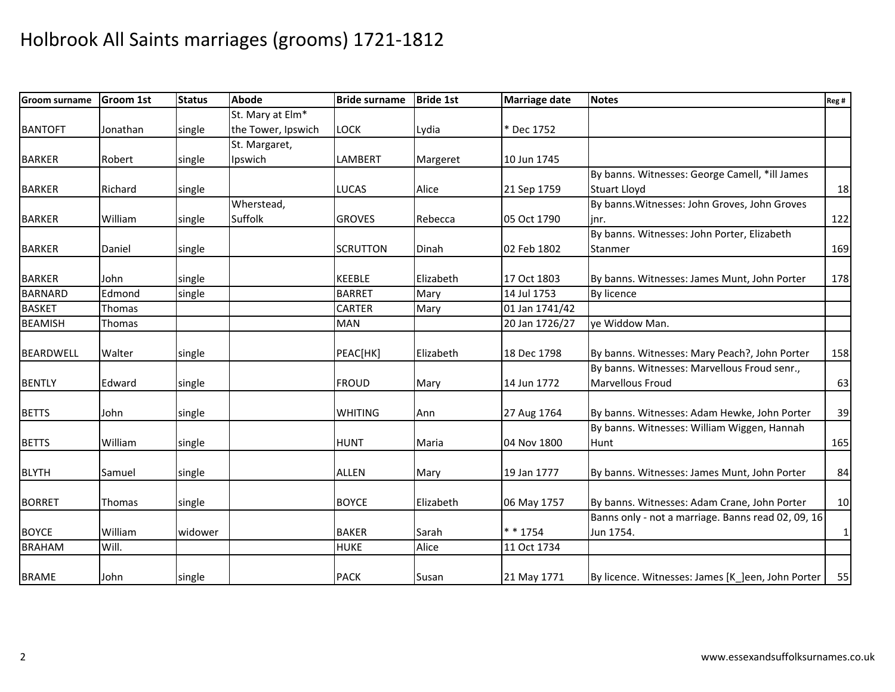| <b>Groom surname</b> | <b>Groom 1st</b> | <b>Status</b> | <b>Abode</b>                 | <b>Bride surname</b> | <b>Bride 1st</b> | <b>Marriage date</b> | <b>Notes</b>                                       | Reg # |
|----------------------|------------------|---------------|------------------------------|----------------------|------------------|----------------------|----------------------------------------------------|-------|
|                      |                  |               | St. Mary at Elm <sup>*</sup> |                      |                  |                      |                                                    |       |
| <b>BANTOFT</b>       | Jonathan         | single        | the Tower, Ipswich           | <b>LOCK</b>          | Lydia            | * Dec 1752           |                                                    |       |
|                      |                  |               | St. Margaret,                |                      |                  |                      |                                                    |       |
| <b>BARKER</b>        | Robert           | single        | Ipswich                      | LAMBERT              | Margeret         | 10 Jun 1745          |                                                    |       |
|                      |                  |               |                              |                      |                  |                      | By banns. Witnesses: George Camell, *ill James     |       |
| <b>BARKER</b>        | Richard          | single        |                              | <b>LUCAS</b>         | Alice            | 21 Sep 1759          | <b>Stuart Lloyd</b>                                | 18    |
|                      |                  |               | Wherstead,                   |                      |                  |                      | By banns. Witnesses: John Groves, John Groves      |       |
| <b>BARKER</b>        | William          | single        | Suffolk                      | <b>GROVES</b>        | Rebecca          | 05 Oct 1790          | linr.                                              | 122   |
|                      |                  |               |                              |                      |                  |                      | By banns. Witnesses: John Porter, Elizabeth        |       |
| <b>BARKER</b>        | Daniel           | single        |                              | <b>SCRUTTON</b>      | Dinah            | 02 Feb 1802          | Stanmer                                            | 169   |
|                      |                  |               |                              |                      |                  |                      |                                                    |       |
| <b>BARKER</b>        | John             | single        |                              | <b>KEEBLE</b>        | Elizabeth        | 17 Oct 1803          | By banns. Witnesses: James Munt, John Porter       | 178   |
| <b>BARNARD</b>       | Edmond           | single        |                              | <b>BARRET</b>        | Mary             | 14 Jul 1753          | By licence                                         |       |
| <b>BASKET</b>        | Thomas           |               |                              | <b>CARTER</b>        | Mary             | 01 Jan 1741/42       |                                                    |       |
| <b>BEAMISH</b>       | Thomas           |               |                              | <b>MAN</b>           |                  | 20 Jan 1726/27       | ye Widdow Man.                                     |       |
| BEARDWELL            | Walter           | single        |                              | PEAC[HK]             | Elizabeth        | 18 Dec 1798          | By banns. Witnesses: Mary Peach?, John Porter      | 158   |
|                      |                  |               |                              |                      |                  |                      | By banns. Witnesses: Marvellous Froud senr.,       |       |
| <b>BENTLY</b>        | Edward           | single        |                              | <b>FROUD</b>         | Mary             | 14 Jun 1772          | <b>Marvellous Froud</b>                            | 63    |
| <b>BETTS</b>         | John             | single        |                              | <b>WHITING</b>       | Ann              | 27 Aug 1764          | By banns. Witnesses: Adam Hewke, John Porter       | 39    |
|                      |                  |               |                              |                      |                  |                      | By banns. Witnesses: William Wiggen, Hannah        |       |
| <b>BETTS</b>         | William          | single        |                              | <b>HUNT</b>          | Maria            | 04 Nov 1800          | Hunt                                               | 165   |
| <b>BLYTH</b>         | Samuel           | single        |                              | <b>ALLEN</b>         | Mary             | 19 Jan 1777          | By banns. Witnesses: James Munt, John Porter       | 84    |
|                      |                  |               |                              |                      |                  |                      |                                                    |       |
| <b>BORRET</b>        | Thomas           | single        |                              | <b>BOYCE</b>         | Elizabeth        | 06 May 1757          | By banns. Witnesses: Adam Crane, John Porter       | 10    |
|                      |                  |               |                              |                      |                  |                      | Banns only - not a marriage. Banns read 02, 09, 16 |       |
| <b>BOYCE</b>         | William          | widower       |                              | <b>BAKER</b>         | Sarah            | * * 1754             | Jun 1754.                                          | 1     |
| <b>BRAHAM</b>        | Will.            |               |                              | <b>HUKE</b>          | Alice            | 11 Oct 1734          |                                                    |       |
| <b>BRAME</b>         | John             | single        |                              | <b>PACK</b>          | Susan            | 21 May 1771          | By licence. Witnesses: James [K_]een, John Porter  | 55    |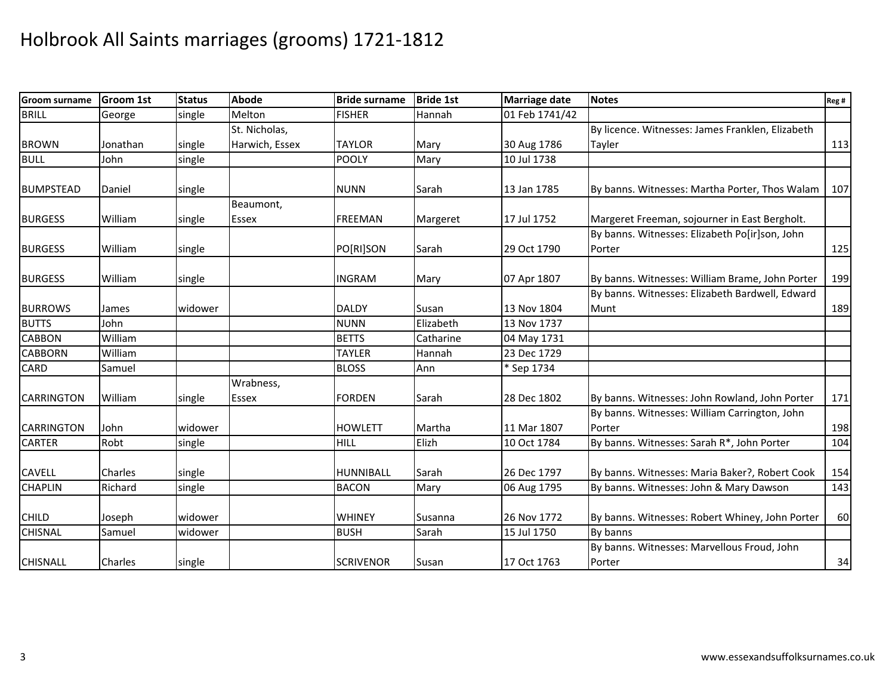| <b>Groom surname</b> | <b>Groom 1st</b> | <b>Status</b> | <b>Abode</b>   | <b>Bride surname</b> | <b>Bride 1st</b> | <b>Marriage date</b> | <b>Notes</b>                                     | Reg # |
|----------------------|------------------|---------------|----------------|----------------------|------------------|----------------------|--------------------------------------------------|-------|
| <b>BRILL</b>         | George           | single        | Melton         | <b>FISHER</b>        | Hannah           | 01 Feb 1741/42       |                                                  |       |
|                      |                  |               | St. Nicholas,  |                      |                  |                      | By licence. Witnesses: James Franklen, Elizabeth |       |
| <b>BROWN</b>         | Jonathan         | single        | Harwich, Essex | <b>TAYLOR</b>        | Mary             | 30 Aug 1786          | Tayler                                           | 113   |
| <b>BULL</b>          | John             | single        |                | POOLY                | Mary             | 10 Jul 1738          |                                                  |       |
|                      |                  |               |                |                      |                  |                      |                                                  |       |
| <b>BUMPSTEAD</b>     | Daniel           | single        |                | <b>NUNN</b>          | Sarah            | 13 Jan 1785          | By banns. Witnesses: Martha Porter, Thos Walam   | 107   |
|                      |                  |               | Beaumont,      |                      |                  |                      |                                                  |       |
| <b>BURGESS</b>       | William          | single        | <b>Essex</b>   | <b>FREEMAN</b>       | Margeret         | 17 Jul 1752          | Margeret Freeman, sojourner in East Bergholt.    |       |
|                      |                  |               |                |                      |                  |                      | By banns. Witnesses: Elizabeth Po[ir]son, John   |       |
| <b>BURGESS</b>       | William          | single        |                | PO[RI]SON            | Sarah            | 29 Oct 1790          | Porter                                           | 125   |
|                      |                  |               |                |                      |                  |                      |                                                  |       |
| <b>BURGESS</b>       | William          | single        |                | INGRAM               | Mary             | 07 Apr 1807          | By banns. Witnesses: William Brame, John Porter  | 199   |
|                      |                  |               |                |                      |                  |                      | By banns. Witnesses: Elizabeth Bardwell, Edward  |       |
| <b>BURROWS</b>       | James            | widower       |                | <b>DALDY</b>         | Susan            | 13 Nov 1804          | Munt                                             | 189   |
| <b>BUTTS</b>         | John             |               |                | <b>NUNN</b>          | Elizabeth        | 13 Nov 1737          |                                                  |       |
| <b>CABBON</b>        | William          |               |                | <b>BETTS</b>         | Catharine        | 04 May 1731          |                                                  |       |
| <b>CABBORN</b>       | William          |               |                | <b>TAYLER</b>        | Hannah           | 23 Dec 1729          |                                                  |       |
| CARD                 | Samuel           |               |                | <b>BLOSS</b>         | Ann              | * Sep 1734           |                                                  |       |
|                      |                  |               | Wrabness,      |                      |                  |                      |                                                  |       |
| <b>CARRINGTON</b>    | William          | single        | Essex          | <b>FORDEN</b>        | Sarah            | 28 Dec 1802          | By banns. Witnesses: John Rowland, John Porter   | 171   |
|                      |                  |               |                |                      |                  |                      | By banns. Witnesses: William Carrington, John    |       |
| <b>CARRINGTON</b>    | John             | widower       |                | <b>HOWLETT</b>       | Martha           | 11 Mar 1807          | Porter                                           | 198   |
| <b>CARTER</b>        | Robt             | single        |                | <b>HILL</b>          | Elizh            | 10 Oct 1784          | By banns. Witnesses: Sarah R*, John Porter       | 104   |
|                      |                  |               |                |                      |                  |                      |                                                  |       |
| <b>CAVELL</b>        | Charles          | single        |                | <b>HUNNIBALL</b>     | Sarah            | 26 Dec 1797          | By banns. Witnesses: Maria Baker?, Robert Cook   | 154   |
| <b>CHAPLIN</b>       | Richard          | single        |                | <b>BACON</b>         | Mary             | 06 Aug 1795          | By banns. Witnesses: John & Mary Dawson          | 143   |
|                      |                  |               |                |                      |                  |                      |                                                  |       |
| <b>CHILD</b>         | Joseph           | widower       |                | <b>WHINEY</b>        | Susanna          | 26 Nov 1772          | By banns. Witnesses: Robert Whiney, John Porter  | 60    |
| <b>CHISNAL</b>       | Samuel           | widower       |                | <b>BUSH</b>          | Sarah            | 15 Jul 1750          | By banns                                         |       |
|                      |                  |               |                |                      |                  |                      | By banns. Witnesses: Marvellous Froud, John      |       |
| <b>CHISNALL</b>      | Charles          | single        |                | <b>SCRIVENOR</b>     | Susan            | 17 Oct 1763          | Porter                                           | 34    |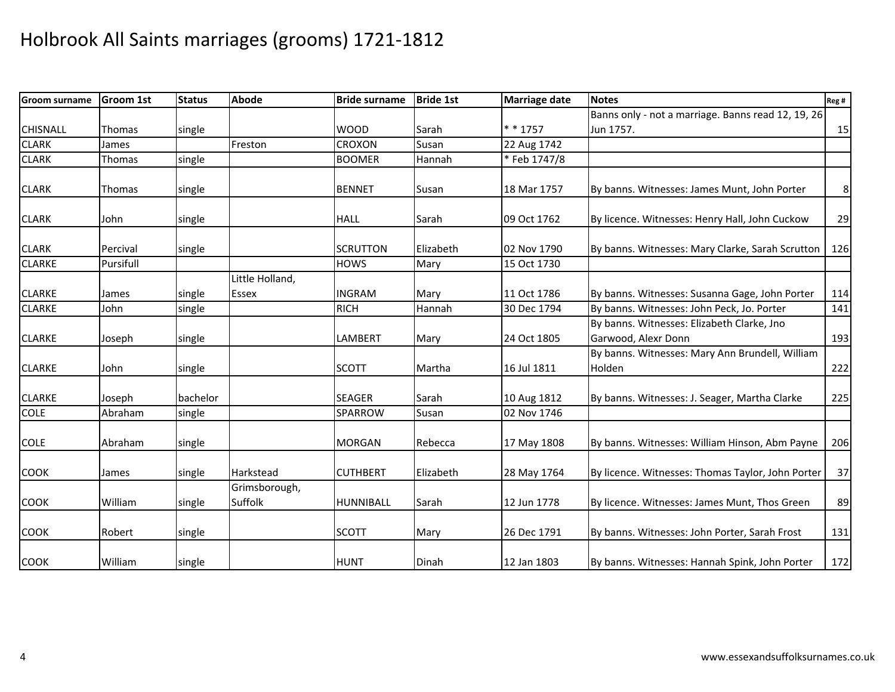| <b>Groom surname</b> | <b>Groom 1st</b> | <b>Status</b> | <b>Abode</b>             | <b>Bride surname</b> | <b>Bride 1st</b> | <b>Marriage date</b> | <b>Notes</b>                                       | Reg #          |
|----------------------|------------------|---------------|--------------------------|----------------------|------------------|----------------------|----------------------------------------------------|----------------|
|                      |                  |               |                          |                      |                  |                      | Banns only - not a marriage. Banns read 12, 19, 26 |                |
| <b>CHISNALL</b>      | Thomas           | single        |                          | <b>WOOD</b>          | Sarah            | $* * 1757$           | Jun 1757.                                          | 15             |
| <b>CLARK</b>         | James            |               | Freston                  | CROXON               | Susan            | 22 Aug 1742          |                                                    |                |
| <b>CLARK</b>         | Thomas           | single        |                          | <b>BOOMER</b>        | Hannah           | * Feb 1747/8         |                                                    |                |
|                      |                  |               |                          |                      |                  |                      |                                                    |                |
| <b>CLARK</b>         | Thomas           | single        |                          | <b>BENNET</b>        | Susan            | 18 Mar 1757          | By banns. Witnesses: James Munt, John Porter       | 8 <sup>1</sup> |
| <b>CLARK</b>         | John             | single        |                          | <b>HALL</b>          | Sarah            | 09 Oct 1762          | By licence. Witnesses: Henry Hall, John Cuckow     | 29             |
| <b>CLARK</b>         | Percival         | single        |                          | <b>SCRUTTON</b>      | Elizabeth        | 02 Nov 1790          | By banns. Witnesses: Mary Clarke, Sarah Scrutton   | 126            |
| <b>CLARKE</b>        | Pursifull        |               |                          | <b>HOWS</b>          | Mary             | 15 Oct 1730          |                                                    |                |
|                      |                  |               | Little Holland,          |                      |                  |                      |                                                    |                |
| <b>CLARKE</b>        | James            | single        | Essex                    | <b>INGRAM</b>        | Mary             | 11 Oct 1786          | By banns. Witnesses: Susanna Gage, John Porter     | 114            |
| <b>CLARKE</b>        | John             | single        |                          | <b>RICH</b>          | Hannah           | 30 Dec 1794          | By banns. Witnesses: John Peck, Jo. Porter         | 141            |
|                      |                  |               |                          |                      |                  |                      | By banns. Witnesses: Elizabeth Clarke, Jno         |                |
| <b>CLARKE</b>        | Joseph           | single        |                          | <b>LAMBERT</b>       | Mary             | 24 Oct 1805          | Garwood, Alexr Donn                                | 193            |
|                      |                  |               |                          |                      |                  |                      | By banns. Witnesses: Mary Ann Brundell, William    |                |
| <b>CLARKE</b>        | John             | single        |                          | <b>SCOTT</b>         | Martha           | 16 Jul 1811          | Holden                                             | 222            |
| <b>CLARKE</b>        | Joseph           | bachelor      |                          | <b>SEAGER</b>        | Sarah            | 10 Aug 1812          | By banns. Witnesses: J. Seager, Martha Clarke      | 225            |
| <b>COLE</b>          | Abraham          | single        |                          | SPARROW              | Susan            | 02 Nov 1746          |                                                    |                |
| <b>COLE</b>          | Abraham          | single        |                          | <b>MORGAN</b>        | Rebecca          | 17 May 1808          | By banns. Witnesses: William Hinson, Abm Payne     | 206            |
| <b>COOK</b>          | James            | single        | Harkstead                | <b>CUTHBERT</b>      | Elizabeth        | 28 May 1764          | By licence. Witnesses: Thomas Taylor, John Porter  | 37             |
| <b>COOK</b>          | William          | single        | Grimsborough,<br>Suffolk | HUNNIBALL            | Sarah            | 12 Jun 1778          | By licence. Witnesses: James Munt, Thos Green      | 89             |
| <b>COOK</b>          | Robert           | single        |                          | <b>SCOTT</b>         | Mary             | 26 Dec 1791          | By banns. Witnesses: John Porter, Sarah Frost      | 131            |
| <b>COOK</b>          | William          | single        |                          | <b>HUNT</b>          | Dinah            | 12 Jan 1803          | By banns. Witnesses: Hannah Spink, John Porter     | 172            |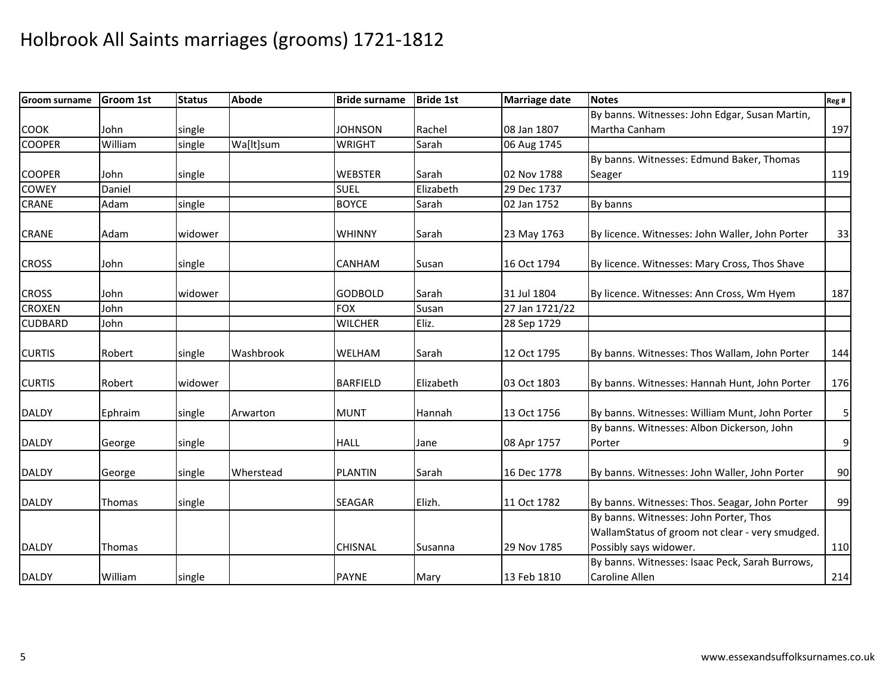| <b>Groom surname</b> | <b>Groom 1st</b> | <b>Status</b> | Abode     | <b>Bride surname</b> | <b>Bride 1st</b> | <b>Marriage date</b> | <b>Notes</b>                                                              | Reg # |
|----------------------|------------------|---------------|-----------|----------------------|------------------|----------------------|---------------------------------------------------------------------------|-------|
|                      |                  |               |           |                      |                  |                      | By banns. Witnesses: John Edgar, Susan Martin,                            |       |
| <b>COOK</b>          | John             | single        |           | <b>JOHNSON</b>       | Rachel           | 08 Jan 1807          | Martha Canham                                                             | 197   |
| <b>COOPER</b>        | William          | single        | Wa[lt]sum | <b>WRIGHT</b>        | Sarah            | 06 Aug 1745          |                                                                           |       |
|                      |                  |               |           |                      |                  |                      | By banns. Witnesses: Edmund Baker, Thomas                                 |       |
| <b>COOPER</b>        | John             | single        |           | <b>WEBSTER</b>       | Sarah            | 02 Nov 1788          | Seager                                                                    | 119   |
| <b>COWEY</b>         | Daniel           |               |           | <b>SUEL</b>          | Elizabeth        | 29 Dec 1737          |                                                                           |       |
| CRANE                | Adam             | single        |           | <b>BOYCE</b>         | Sarah            | 02 Jan 1752          | By banns                                                                  |       |
| <b>CRANE</b>         | Adam             | widower       |           | <b>WHINNY</b>        | Sarah            | 23 May 1763          | By licence. Witnesses: John Waller, John Porter                           | 33    |
| <b>CROSS</b>         | John             | single        |           | <b>CANHAM</b>        | Susan            | 16 Oct 1794          | By licence. Witnesses: Mary Cross, Thos Shave                             |       |
| <b>CROSS</b>         | John             | widower       |           | <b>GODBOLD</b>       | Sarah            | 31 Jul 1804          | By licence. Witnesses: Ann Cross, Wm Hyem                                 | 187   |
| <b>CROXEN</b>        | John             |               |           | <b>FOX</b>           | Susan            | 27 Jan 1721/22       |                                                                           |       |
| <b>CUDBARD</b>       | John             |               |           | <b>WILCHER</b>       | Eliz.            | 28 Sep 1729          |                                                                           |       |
| <b>CURTIS</b>        | Robert           | single        | Washbrook | WELHAM               | Sarah            | 12 Oct 1795          | By banns. Witnesses: Thos Wallam, John Porter                             | 144   |
| <b>CURTIS</b>        | Robert           | widower       |           | <b>BARFIELD</b>      | Elizabeth        | 03 Oct 1803          | By banns. Witnesses: Hannah Hunt, John Porter                             | 176   |
| <b>DALDY</b>         | Ephraim          | single        | Arwarton  | <b>MUNT</b>          | Hannah           | 13 Oct 1756          | By banns. Witnesses: William Munt, John Porter                            | 5     |
| <b>DALDY</b>         | George           | single        |           | <b>HALL</b>          | Jane             | 08 Apr 1757          | By banns. Witnesses: Albon Dickerson, John<br>Porter                      | 9     |
| <b>DALDY</b>         | George           | single        | Wherstead | <b>PLANTIN</b>       | Sarah            | 16 Dec 1778          | By banns. Witnesses: John Waller, John Porter                             | 90    |
| <b>DALDY</b>         | <b>Thomas</b>    | single        |           | <b>SEAGAR</b>        | Elizh.           | 11 Oct 1782          | By banns. Witnesses: Thos. Seagar, John Porter                            | 99    |
|                      |                  |               |           |                      |                  |                      | By banns. Witnesses: John Porter, Thos                                    |       |
| <b>DALDY</b>         | <b>Thomas</b>    |               |           | <b>CHISNAL</b>       | Susanna          | 29 Nov 1785          | WallamStatus of groom not clear - very smudged.<br>Possibly says widower. | 110   |
| <b>DALDY</b>         | William          | single        |           | <b>PAYNE</b>         | Mary             | 13 Feb 1810          | By banns. Witnesses: Isaac Peck, Sarah Burrows,<br><b>Caroline Allen</b>  | 214   |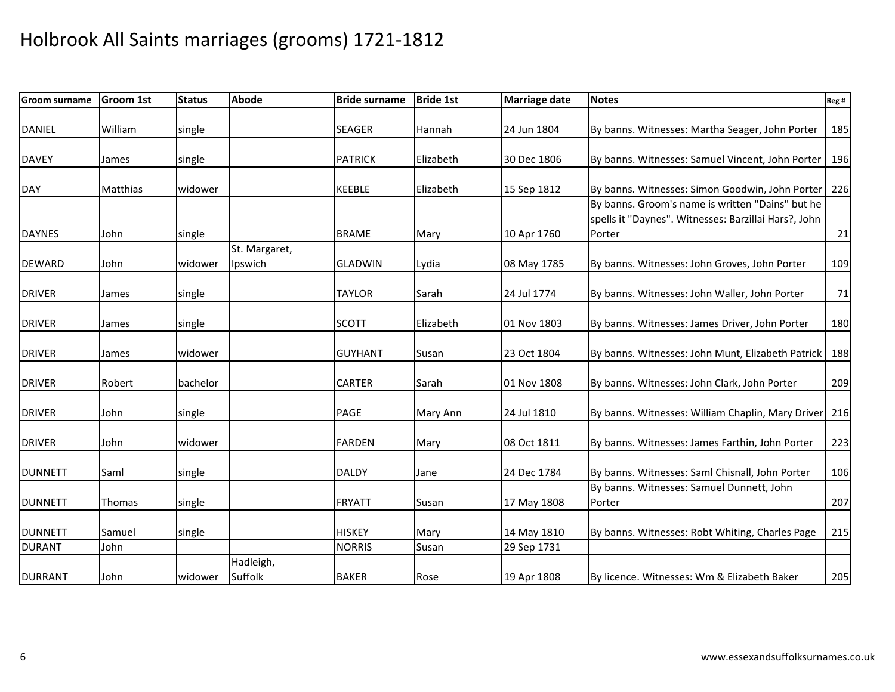| <b>Groom surname</b> | <b>Groom 1st</b> | <b>Status</b> | <b>Abode</b>             | <b>Bride surname</b> | <b>Bride 1st</b> | <b>Marriage date</b> | <b>Notes</b>                                                                                                       | Reg # |
|----------------------|------------------|---------------|--------------------------|----------------------|------------------|----------------------|--------------------------------------------------------------------------------------------------------------------|-------|
| <b>DANIEL</b>        | William          | single        |                          | <b>SEAGER</b>        | Hannah           | 24 Jun 1804          | By banns. Witnesses: Martha Seager, John Porter                                                                    | 185   |
| <b>DAVEY</b>         | James            | single        |                          | <b>PATRICK</b>       | Elizabeth        | 30 Dec 1806          | By banns. Witnesses: Samuel Vincent, John Porter                                                                   | 196   |
| <b>DAY</b>           | <b>Matthias</b>  | widower       |                          | <b>KEEBLE</b>        | Elizabeth        | 15 Sep 1812          | By banns. Witnesses: Simon Goodwin, John Porter                                                                    | 226   |
| <b>DAYNES</b>        | John             | single        |                          | <b>BRAME</b>         | Mary             | 10 Apr 1760          | By banns. Groom's name is written "Dains" but he<br>spells it "Daynes". Witnesses: Barzillai Hars?, John<br>Porter | 21    |
| <b>DEWARD</b>        | John             | widower       | St. Margaret,<br>Ipswich | <b>GLADWIN</b>       | Lydia            | 08 May 1785          | By banns. Witnesses: John Groves, John Porter                                                                      | 109   |
| <b>DRIVER</b>        | James            | single        |                          | <b>TAYLOR</b>        | Sarah            | 24 Jul 1774          | By banns. Witnesses: John Waller, John Porter                                                                      | 71    |
| <b>DRIVER</b>        | James            | single        |                          | <b>SCOTT</b>         | Elizabeth        | 01 Nov 1803          | By banns. Witnesses: James Driver, John Porter                                                                     | 180   |
| <b>DRIVER</b>        | James            | widower       |                          | <b>GUYHANT</b>       | Susan            | 23 Oct 1804          | By banns. Witnesses: John Munt, Elizabeth Patrick                                                                  | 188   |
| <b>DRIVER</b>        | Robert           | bachelor      |                          | <b>CARTER</b>        | Sarah            | 01 Nov 1808          | By banns. Witnesses: John Clark, John Porter                                                                       | 209   |
| <b>DRIVER</b>        | John             | single        |                          | <b>PAGE</b>          | Mary Ann         | 24 Jul 1810          | By banns. Witnesses: William Chaplin, Mary Driver                                                                  | 216   |
| <b>DRIVER</b>        | John             | widower       |                          | <b>FARDEN</b>        | Mary             | 08 Oct 1811          | By banns. Witnesses: James Farthin, John Porter                                                                    | 223   |
| <b>DUNNETT</b>       | Saml             | single        |                          | <b>DALDY</b>         | Jane             | 24 Dec 1784          | By banns. Witnesses: Saml Chisnall, John Porter                                                                    | 106   |
| <b>DUNNETT</b>       | Thomas           | single        |                          | <b>FRYATT</b>        | Susan            | 17 May 1808          | By banns. Witnesses: Samuel Dunnett, John<br>Porter                                                                | 207   |
| <b>DUNNETT</b>       | Samuel           | single        |                          | <b>HISKEY</b>        | Mary             | 14 May 1810          | By banns. Witnesses: Robt Whiting, Charles Page                                                                    | 215   |
| <b>DURANT</b>        | John             |               |                          | <b>NORRIS</b>        | Susan            | 29 Sep 1731          |                                                                                                                    |       |
| <b>DURRANT</b>       | John             | widower       | Hadleigh,<br>Suffolk     | <b>BAKER</b>         | Rose             | 19 Apr 1808          | By licence. Witnesses: Wm & Elizabeth Baker                                                                        | 205   |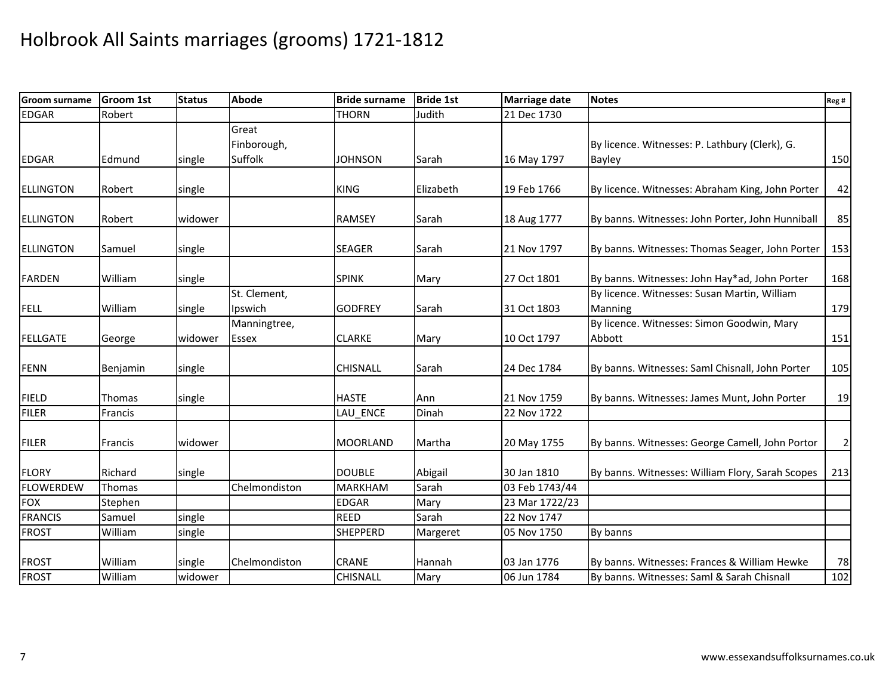| <b>Groom surname</b> | <b>Groom 1st</b> | <b>Status</b> | Abode                           | <b>Bride surname</b> | <b>Bride 1st</b> | <b>Marriage date</b> | <b>Notes</b>                                                    | Reg #          |
|----------------------|------------------|---------------|---------------------------------|----------------------|------------------|----------------------|-----------------------------------------------------------------|----------------|
| <b>EDGAR</b>         | Robert           |               |                                 | <b>THORN</b>         | Judith           | 21 Dec 1730          |                                                                 |                |
| <b>EDGAR</b>         | Edmund           | single        | Great<br>Finborough,<br>Suffolk | <b>JOHNSON</b>       | Sarah            | 16 May 1797          | By licence. Witnesses: P. Lathbury (Clerk), G.<br><b>Bayley</b> | 150            |
| <b>ELLINGTON</b>     | Robert           | single        |                                 | <b>KING</b>          | Elizabeth        | 19 Feb 1766          | By licence. Witnesses: Abraham King, John Porter                | 42             |
| <b>ELLINGTON</b>     | Robert           | widower       |                                 | <b>RAMSEY</b>        | Sarah            | 18 Aug 1777          | By banns. Witnesses: John Porter, John Hunniball                | 85             |
| <b>ELLINGTON</b>     | Samuel           | single        |                                 | <b>SEAGER</b>        | Sarah            | 21 Nov 1797          | By banns. Witnesses: Thomas Seager, John Porter                 | 153            |
| <b>FARDEN</b>        | William          | single        |                                 | <b>SPINK</b>         | Mary             | 27 Oct 1801          | By banns. Witnesses: John Hay*ad, John Porter                   | 168            |
| <b>FELL</b>          | William          | single        | St. Clement,<br>Ipswich         | <b>GODFREY</b>       | Sarah            | 31 Oct 1803          | By licence. Witnesses: Susan Martin, William<br>Manning         | 179            |
| <b>FELLGATE</b>      | George           | widower       | Manningtree,<br>Essex           | <b>CLARKE</b>        | Mary             | 10 Oct 1797          | By licence. Witnesses: Simon Goodwin, Mary<br>Abbott            | 151            |
| <b>FENN</b>          | Benjamin         | single        |                                 | <b>CHISNALL</b>      | Sarah            | 24 Dec 1784          | By banns. Witnesses: Saml Chisnall, John Porter                 | 105            |
| <b>FIELD</b>         | Thomas           | single        |                                 | <b>HASTE</b>         | Ann              | 21 Nov 1759          | By banns. Witnesses: James Munt, John Porter                    | 19             |
| <b>FILER</b>         | Francis          |               |                                 | LAU ENCE             | Dinah            | 22 Nov 1722          |                                                                 |                |
| <b>FILER</b>         | Francis          | widower       |                                 | <b>MOORLAND</b>      | Martha           | 20 May 1755          | By banns. Witnesses: George Camell, John Portor                 | $\overline{c}$ |
| <b>FLORY</b>         | Richard          | single        |                                 | <b>DOUBLE</b>        | Abigail          | 30 Jan 1810          | By banns. Witnesses: William Flory, Sarah Scopes                | 213            |
| <b>FLOWERDEW</b>     | Thomas           |               | Chelmondiston                   | <b>MARKHAM</b>       | Sarah            | 03 Feb 1743/44       |                                                                 |                |
| <b>FOX</b>           | Stephen          |               |                                 | <b>EDGAR</b>         | Mary             | 23 Mar 1722/23       |                                                                 |                |
| <b>FRANCIS</b>       | Samuel           | single        |                                 | <b>REED</b>          | Sarah            | 22 Nov 1747          |                                                                 |                |
| <b>FROST</b>         | William          | single        |                                 | <b>SHEPPERD</b>      | Margeret         | 05 Nov 1750          | By banns                                                        |                |
| <b>FROST</b>         | William          | single        | Chelmondiston                   | <b>CRANE</b>         | Hannah           | 03 Jan 1776          | By banns. Witnesses: Frances & William Hewke                    | 78             |
| <b>FROST</b>         | William          | widower       |                                 | <b>CHISNALL</b>      | Mary             | 06 Jun 1784          | By banns. Witnesses: Saml & Sarah Chisnall                      | 102            |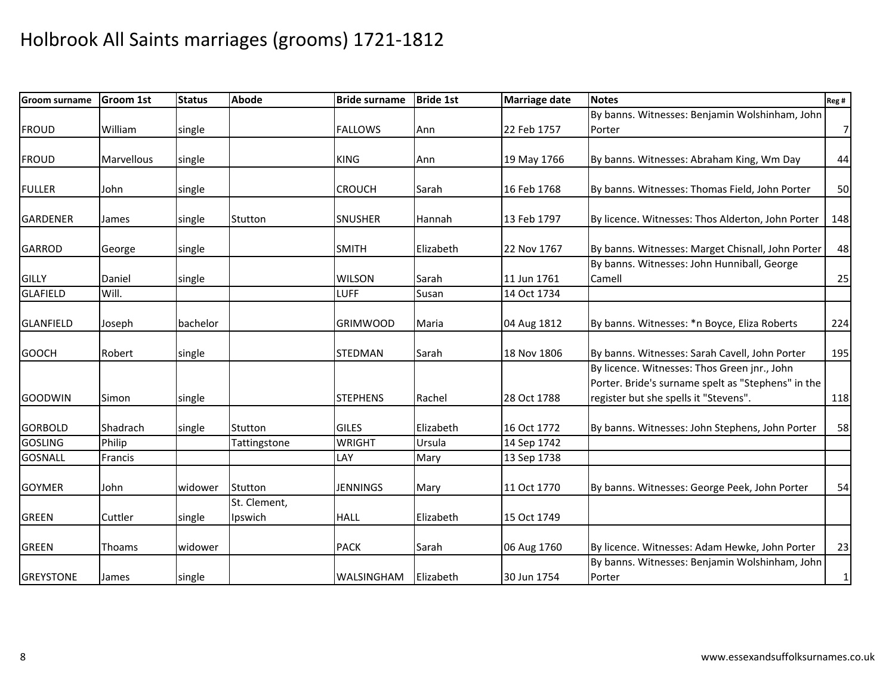| <b>Groom surname</b> | <b>Groom 1st</b> | <b>Status</b> | <b>Abode</b> | <b>Bride surname</b> | <b>Bride 1st</b> | <b>Marriage date</b> | <b>Notes</b>                                             | Reg #          |
|----------------------|------------------|---------------|--------------|----------------------|------------------|----------------------|----------------------------------------------------------|----------------|
|                      |                  |               |              |                      |                  |                      | By banns. Witnesses: Benjamin Wolshinham, John           |                |
| <b>FROUD</b>         | William          | single        |              | <b>FALLOWS</b>       | Ann              | 22 Feb 1757          | Porter                                                   | 7 <sup>1</sup> |
|                      |                  |               |              |                      |                  |                      |                                                          |                |
| <b>FROUD</b>         | Marvellous       | single        |              | <b>KING</b>          | Ann              | 19 May 1766          | By banns. Witnesses: Abraham King, Wm Day                | 44             |
| <b>FULLER</b>        | John             | single        |              | <b>CROUCH</b>        | Sarah            | 16 Feb 1768          | By banns. Witnesses: Thomas Field, John Porter           | 50             |
|                      |                  |               |              |                      |                  |                      |                                                          |                |
| <b>GARDENER</b>      | James            | single        | Stutton      | <b>SNUSHER</b>       | Hannah           | 13 Feb 1797          | By licence. Witnesses: Thos Alderton, John Porter        | 148            |
| <b>GARROD</b>        | George           | single        |              | <b>SMITH</b>         | Elizabeth        | 22 Nov 1767          | By banns. Witnesses: Marget Chisnall, John Porter        | 48             |
|                      |                  |               |              |                      |                  |                      | By banns. Witnesses: John Hunniball, George              |                |
| <b>GILLY</b>         | Daniel           | single        |              | <b>WILSON</b>        | Sarah            | 11 Jun 1761          | Camell                                                   | 25             |
| <b>GLAFIELD</b>      | Will.            |               |              | <b>LUFF</b>          | Susan            | 14 Oct 1734          |                                                          |                |
| <b>GLANFIELD</b>     | Joseph           | bachelor      |              | <b>GRIMWOOD</b>      | Maria            | 04 Aug 1812          | By banns. Witnesses: * n Boyce, Eliza Roberts            | 224            |
|                      |                  |               |              |                      |                  |                      |                                                          |                |
| <b>GOOCH</b>         | Robert           | single        |              | <b>STEDMAN</b>       | Sarah            | 18 Nov 1806          | By banns. Witnesses: Sarah Cavell, John Porter           | 195            |
|                      |                  |               |              |                      |                  |                      | By licence. Witnesses: Thos Green jnr., John             |                |
|                      |                  |               |              |                      |                  |                      | Porter. Bride's surname spelt as "Stephens" in the       |                |
| <b>GOODWIN</b>       | Simon            | single        |              | <b>STEPHENS</b>      | Rachel           | 28 Oct 1788          | register but she spells it "Stevens".                    | 118            |
| <b>GORBOLD</b>       | Shadrach         | single        | Stutton      | <b>GILES</b>         | Elizabeth        | 16 Oct 1772          | By banns. Witnesses: John Stephens, John Porter          | 58             |
| <b>GOSLING</b>       | Philip           |               | Tattingstone | <b>WRIGHT</b>        | Ursula           | 14 Sep 1742          |                                                          |                |
| <b>GOSNALL</b>       | Francis          |               |              | LAY                  | Mary             | 13 Sep 1738          |                                                          |                |
| <b>GOYMER</b>        | John             | widower       | Stutton      | <b>JENNINGS</b>      | Mary             | 11 Oct 1770          | By banns. Witnesses: George Peek, John Porter            | 54             |
|                      |                  |               | St. Clement, |                      |                  |                      |                                                          |                |
| <b>GREEN</b>         | Cuttler          | single        | Ipswich      | <b>HALL</b>          | Elizabeth        | 15 Oct 1749          |                                                          |                |
| <b>GREEN</b>         | Thoams           | widower       |              | <b>PACK</b>          | Sarah            | 06 Aug 1760          | By licence. Witnesses: Adam Hewke, John Porter           | 23             |
| <b>GREYSTONE</b>     | James            | single        |              | <b>WALSINGHAM</b>    | Elizabeth        | 30 Jun 1754          | By banns. Witnesses: Benjamin Wolshinham, John<br>Porter | 1              |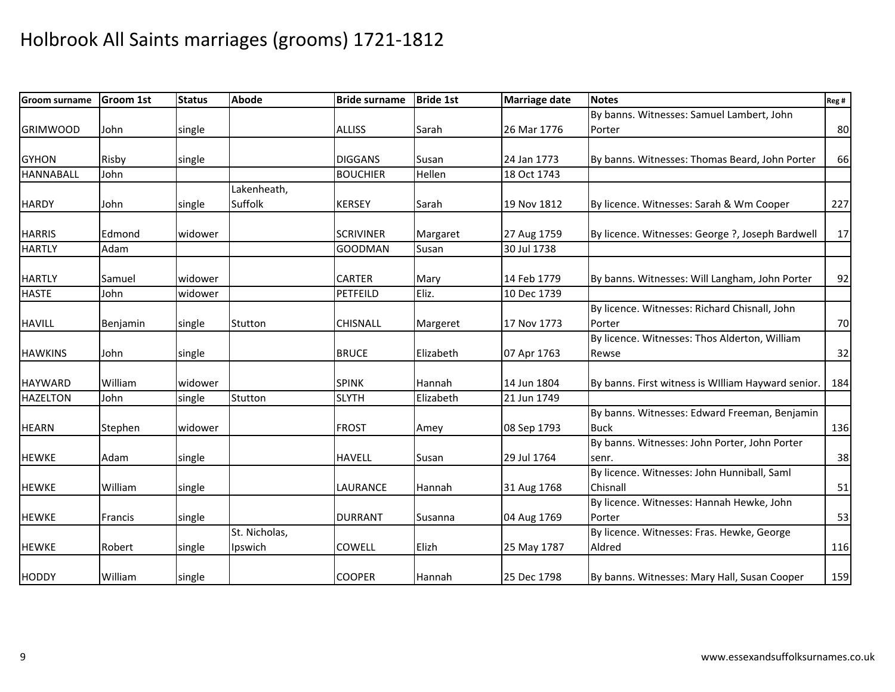| <b>Groom surname</b> | <b>Groom 1st</b> | <b>Status</b> | <b>Abode</b>  | <b>Bride surname</b> | <b>Bride 1st</b> | <b>Marriage date</b> | <b>Notes</b>                                       | Reg # |
|----------------------|------------------|---------------|---------------|----------------------|------------------|----------------------|----------------------------------------------------|-------|
|                      |                  |               |               |                      |                  |                      | By banns. Witnesses: Samuel Lambert, John          |       |
| <b>GRIMWOOD</b>      | John             | single        |               | <b>ALLISS</b>        | Sarah            | 26 Mar 1776          | Porter                                             | 80    |
|                      |                  |               |               |                      |                  |                      |                                                    |       |
| <b>GYHON</b>         | Risby            | single        |               | <b>DIGGANS</b>       | Susan            | 24 Jan 1773          | By banns. Witnesses: Thomas Beard, John Porter     | 66    |
| <b>HANNABALL</b>     | John             |               |               | <b>BOUCHIER</b>      | Hellen           | 18 Oct 1743          |                                                    |       |
|                      |                  |               | Lakenheath,   |                      |                  |                      |                                                    |       |
| <b>HARDY</b>         | John             | single        | Suffolk       | <b>KERSEY</b>        | Sarah            | 19 Nov 1812          | By licence. Witnesses: Sarah & Wm Cooper           | 227   |
| <b>HARRIS</b>        | Edmond           | widower       |               | <b>SCRIVINER</b>     | Margaret         | 27 Aug 1759          | By licence. Witnesses: George ?, Joseph Bardwell   | 17    |
| <b>HARTLY</b>        | Adam             |               |               | <b>GOODMAN</b>       | Susan            | 30 Jul 1738          |                                                    |       |
|                      |                  |               |               |                      |                  |                      |                                                    |       |
| <b>HARTLY</b>        | Samuel           | widower       |               | <b>CARTER</b>        | Mary             | 14 Feb 1779          | By banns. Witnesses: Will Langham, John Porter     | 92    |
| <b>HASTE</b>         | John             | widower       |               | PETFEILD             | Eliz.            | 10 Dec 1739          |                                                    |       |
|                      |                  |               |               |                      |                  |                      | By licence. Witnesses: Richard Chisnall, John      |       |
| <b>HAVILL</b>        | Benjamin         | single        | Stutton       | <b>CHISNALL</b>      | Margeret         | 17 Nov 1773          | Porter                                             | 70    |
|                      |                  |               |               |                      |                  |                      | By licence. Witnesses: Thos Alderton, William      |       |
| <b>HAWKINS</b>       | John             | single        |               | <b>BRUCE</b>         | Elizabeth        | 07 Apr 1763          | Rewse                                              | 32    |
| <b>HAYWARD</b>       | William          | widower       |               | <b>SPINK</b>         | Hannah           | 14 Jun 1804          | By banns. First witness is William Hayward senior. | 184   |
| <b>HAZELTON</b>      | John             | single        | Stutton       | <b>SLYTH</b>         | Elizabeth        | 21 Jun 1749          |                                                    |       |
|                      |                  |               |               |                      |                  |                      | By banns. Witnesses: Edward Freeman, Benjamin      |       |
| <b>HEARN</b>         | Stephen          | widower       |               | <b>FROST</b>         | Amey             | 08 Sep 1793          | <b>Buck</b>                                        | 136   |
|                      |                  |               |               |                      |                  |                      | By banns. Witnesses: John Porter, John Porter      |       |
| <b>HEWKE</b>         | Adam             | single        |               | <b>HAVELL</b>        | Susan            | 29 Jul 1764          | senr.                                              | 38    |
|                      |                  |               |               |                      |                  |                      | By licence. Witnesses: John Hunniball, Saml        |       |
| <b>HEWKE</b>         | William          | single        |               | LAURANCE             | Hannah           | 31 Aug 1768          | Chisnall                                           | 51    |
|                      |                  |               |               |                      |                  |                      | By licence. Witnesses: Hannah Hewke, John          |       |
| <b>HEWKE</b>         | Francis          | single        |               | <b>DURRANT</b>       | Susanna          | 04 Aug 1769          | Porter                                             | 53    |
|                      |                  |               | St. Nicholas, |                      |                  |                      | By licence. Witnesses: Fras. Hewke, George         |       |
| <b>HEWKE</b>         | Robert           | single        | Ipswich       | <b>COWELL</b>        | Elizh            | 25 May 1787          | Aldred                                             | 116   |
| <b>HODDY</b>         | William          | single        |               | <b>COOPER</b>        | Hannah           | 25 Dec 1798          | By banns. Witnesses: Mary Hall, Susan Cooper       | 159   |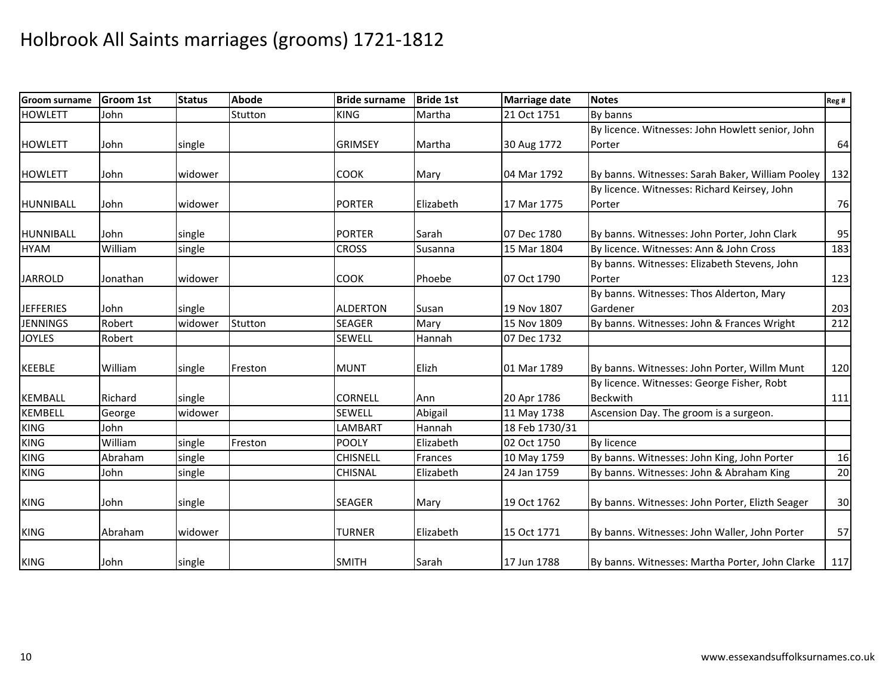| <b>Groom surname</b> | <b>Groom 1st</b> | <b>Status</b> | <b>Abode</b> | <b>Bride surname</b> | <b>Bride 1st</b> | <b>Marriage date</b> | <b>Notes</b>                                     | Reg # |
|----------------------|------------------|---------------|--------------|----------------------|------------------|----------------------|--------------------------------------------------|-------|
| <b>HOWLETT</b>       | John             |               | Stutton      | <b>KING</b>          | Martha           | 21 Oct 1751          | By banns                                         |       |
|                      |                  |               |              |                      |                  |                      | By licence. Witnesses: John Howlett senior, John |       |
| <b>HOWLETT</b>       | John             | single        |              | <b>GRIMSEY</b>       | Martha           | 30 Aug 1772          | Porter                                           | 64    |
|                      |                  |               |              |                      |                  |                      |                                                  |       |
| <b>HOWLETT</b>       | John             | widower       |              | <b>COOK</b>          | Mary             | 04 Mar 1792          | By banns. Witnesses: Sarah Baker, William Pooley | 132   |
|                      |                  |               |              |                      |                  |                      | By licence. Witnesses: Richard Keirsey, John     |       |
| HUNNIBALL            | John             | widower       |              | <b>PORTER</b>        | Elizabeth        | 17 Mar 1775          | Porter                                           | 76    |
|                      |                  |               |              |                      |                  |                      |                                                  |       |
| <b>HUNNIBALL</b>     | John             | single        |              | <b>PORTER</b>        | Sarah            | 07 Dec 1780          | By banns. Witnesses: John Porter, John Clark     | 95    |
| <b>HYAM</b>          | William          | single        |              | <b>CROSS</b>         | Susanna          | 15 Mar 1804          | By licence. Witnesses: Ann & John Cross          | 183   |
|                      |                  |               |              |                      |                  |                      | By banns. Witnesses: Elizabeth Stevens, John     |       |
| <b>JARROLD</b>       | Jonathan         | widower       |              | <b>COOK</b>          | Phoebe           | 07 Oct 1790          | Porter                                           | 123   |
|                      |                  |               |              |                      |                  |                      | By banns. Witnesses: Thos Alderton, Mary         |       |
| <b>JEFFERIES</b>     | John             | single        |              | <b>ALDERTON</b>      | Susan            | 19 Nov 1807          | Gardener                                         | 203   |
| <b>JENNINGS</b>      | Robert           | widower       | Stutton      | <b>SEAGER</b>        | Mary             | 15 Nov 1809          | By banns. Witnesses: John & Frances Wright       | 212   |
| <b>JOYLES</b>        | Robert           |               |              | <b>SEWELL</b>        | Hannah           | 07 Dec 1732          |                                                  |       |
| <b>KEEBLE</b>        | William          | single        | Freston      | <b>MUNT</b>          | Elizh            | 01 Mar 1789          | By banns. Witnesses: John Porter, Willm Munt     | 120   |
|                      |                  |               |              |                      |                  |                      | By licence. Witnesses: George Fisher, Robt       |       |
| <b>KEMBALL</b>       | Richard          | single        |              | <b>CORNELL</b>       | Ann              | 20 Apr 1786          | <b>Beckwith</b>                                  | 111   |
| <b>KEMBELL</b>       | George           | widower       |              | <b>SEWELL</b>        | Abigail          | 11 May 1738          | Ascension Day. The groom is a surgeon.           |       |
| <b>KING</b>          | John             |               |              | LAMBART              | Hannah           | 18 Feb 1730/31       |                                                  |       |
| <b>KING</b>          | William          | single        | Freston      | <b>POOLY</b>         | Elizabeth        | 02 Oct 1750          | <b>By licence</b>                                |       |
| <b>KING</b>          | Abraham          | single        |              | <b>CHISNELL</b>      | Frances          | 10 May 1759          | By banns. Witnesses: John King, John Porter      | 16    |
| <b>KING</b>          | John             | single        |              | <b>CHISNAL</b>       | Elizabeth        | 24 Jan 1759          | By banns. Witnesses: John & Abraham King         | 20    |
| <b>KING</b>          | John             | single        |              | <b>SEAGER</b>        | Mary             | 19 Oct 1762          | By banns. Witnesses: John Porter, Elizth Seager  | 30    |
| <b>KING</b>          | Abraham          | widower       |              | TURNER               | Elizabeth        | 15 Oct 1771          | By banns. Witnesses: John Waller, John Porter    | 57    |
| <b>KING</b>          | John             | single        |              | <b>SMITH</b>         | Sarah            | 17 Jun 1788          | By banns. Witnesses: Martha Porter, John Clarke  | 117   |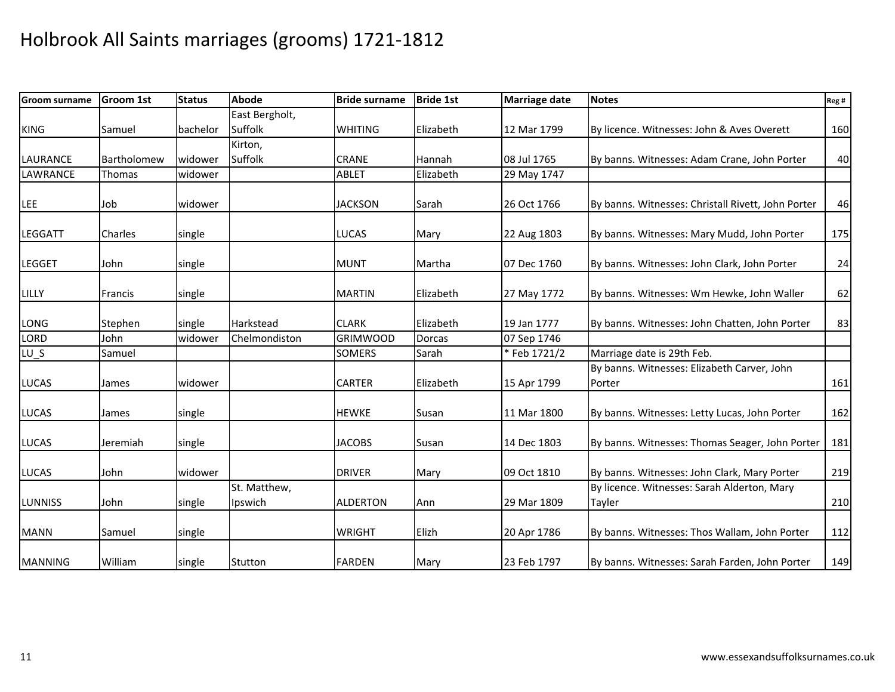| <b>Groom surname</b> | <b>Groom 1st</b> | <b>Status</b> | <b>Abode</b>   | <b>Bride surname</b> | <b>Bride 1st</b> | <b>Marriage date</b> | <b>Notes</b>                                          | Reg# |
|----------------------|------------------|---------------|----------------|----------------------|------------------|----------------------|-------------------------------------------------------|------|
|                      |                  |               | East Bergholt, |                      |                  |                      |                                                       |      |
| <b>KING</b>          | Samuel           | bachelor      | Suffolk        | <b>WHITING</b>       | Elizabeth        | 12 Mar 1799          | By licence. Witnesses: John & Aves Overett            | 160  |
|                      |                  |               | Kirton,        |                      |                  |                      |                                                       |      |
| <b>LAURANCE</b>      | Bartholomew      | widower       | Suffolk        | <b>CRANE</b>         | Hannah           | 08 Jul 1765          | By banns. Witnesses: Adam Crane, John Porter          | 40   |
| <b>LAWRANCE</b>      | Thomas           | widower       |                | <b>ABLET</b>         | Elizabeth        | 29 May 1747          |                                                       |      |
| LEE                  | Job              | widower       |                | <b>JACKSON</b>       | Sarah            | 26 Oct 1766          | By banns. Witnesses: Christall Rivett, John Porter    | 46   |
| <b>LEGGATT</b>       | Charles          | single        |                | <b>LUCAS</b>         | Mary             | 22 Aug 1803          | By banns. Witnesses: Mary Mudd, John Porter           | 175  |
| <b>LEGGET</b>        | John             | single        |                | <b>MUNT</b>          | Martha           | 07 Dec 1760          | By banns. Witnesses: John Clark, John Porter          | 24   |
| <b>LILLY</b>         | Francis          | single        |                | <b>MARTIN</b>        | Elizabeth        | 27 May 1772          | By banns. Witnesses: Wm Hewke, John Waller            | 62   |
| LONG                 | Stephen          | single        | Harkstead      | <b>CLARK</b>         | Elizabeth        | 19 Jan 1777          | By banns. Witnesses: John Chatten, John Porter        | 83   |
| LORD                 | John             | widower       | Chelmondiston  | <b>GRIMWOOD</b>      | <b>Dorcas</b>    | 07 Sep 1746          |                                                       |      |
| $LU_S$               | Samuel           |               |                | <b>SOMERS</b>        | Sarah            | * Feb 1721/2         | Marriage date is 29th Feb.                            |      |
| <b>LUCAS</b>         | James            | widower       |                | <b>CARTER</b>        | Elizabeth        | 15 Apr 1799          | By banns. Witnesses: Elizabeth Carver, John<br>Porter | 161  |
| <b>LUCAS</b>         | James            | single        |                | <b>HEWKE</b>         | Susan            | 11 Mar 1800          | By banns. Witnesses: Letty Lucas, John Porter         | 162  |
| <b>LUCAS</b>         | Jeremiah         | single        |                | <b>JACOBS</b>        | Susan            | 14 Dec 1803          | By banns. Witnesses: Thomas Seager, John Porter       | 181  |
| <b>LUCAS</b>         | John             | widower       |                | <b>DRIVER</b>        | Mary             | 09 Oct 1810          | By banns. Witnesses: John Clark, Mary Porter          | 219  |
|                      |                  |               | St. Matthew,   |                      |                  |                      | By licence. Witnesses: Sarah Alderton, Mary           |      |
| <b>LUNNISS</b>       | John             | single        | Ipswich        | <b>ALDERTON</b>      | Ann              | 29 Mar 1809          | Tayler                                                | 210  |
| <b>MANN</b>          | Samuel           | single        |                | <b>WRIGHT</b>        | Elizh            | 20 Apr 1786          | By banns. Witnesses: Thos Wallam, John Porter         | 112  |
| <b>MANNING</b>       | William          | single        | Stutton        | <b>FARDEN</b>        | Mary             | 23 Feb 1797          | By banns. Witnesses: Sarah Farden, John Porter        | 149  |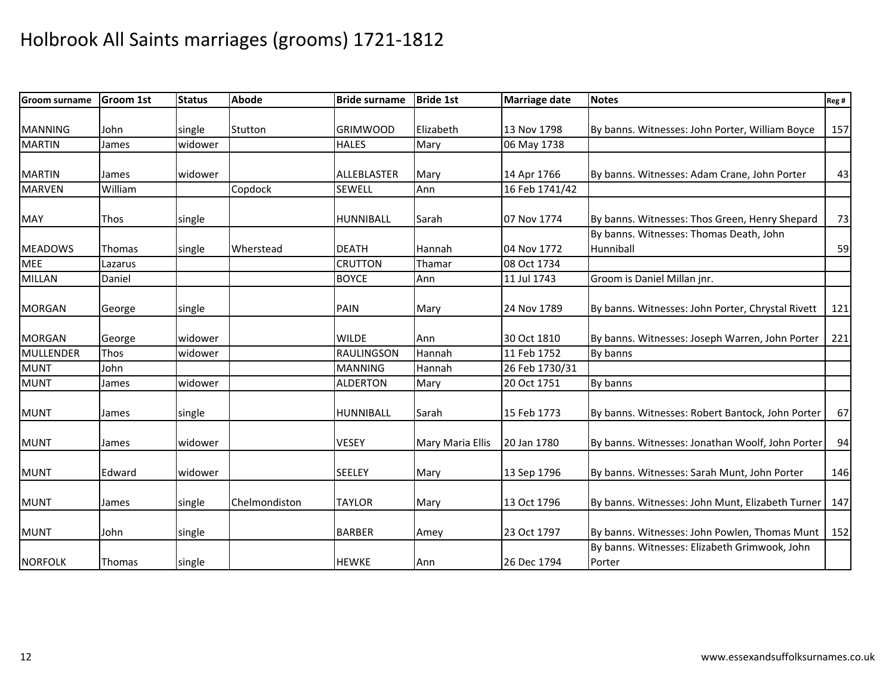| <b>Groom surname</b> | <b>Groom 1st</b> | <b>Status</b> | Abode         | <b>Bride surname</b> | <b>Bride 1st</b> | <b>Marriage date</b> | <b>Notes</b>                                            | Reg# |
|----------------------|------------------|---------------|---------------|----------------------|------------------|----------------------|---------------------------------------------------------|------|
|                      |                  |               |               |                      |                  |                      |                                                         |      |
| <b>MANNING</b>       | John             | single        | Stutton       | <b>GRIMWOOD</b>      | Elizabeth        | 13 Nov 1798          | By banns. Witnesses: John Porter, William Boyce         | 157  |
| <b>MARTIN</b>        | James            | widower       |               | <b>HALES</b>         | Mary             | 06 May 1738          |                                                         |      |
|                      |                  |               |               |                      |                  |                      |                                                         |      |
| <b>MARTIN</b>        | James            | widower       |               | ALLEBLASTER          | Mary             | 14 Apr 1766          | By banns. Witnesses: Adam Crane, John Porter            | 43   |
| <b>MARVEN</b>        | William          |               | Copdock       | <b>SEWELL</b>        | Ann              | 16 Feb 1741/42       |                                                         |      |
| <b>MAY</b>           | Thos             | single        |               | HUNNIBALL            | Sarah            | 07 Nov 1774          | By banns. Witnesses: Thos Green, Henry Shepard          | 73   |
|                      |                  |               |               |                      |                  |                      | By banns. Witnesses: Thomas Death, John                 |      |
| <b>MEADOWS</b>       | Thomas           | single        | Wherstead     | <b>DEATH</b>         | Hannah           | 04 Nov 1772          | <b>Hunniball</b>                                        | 59   |
| <b>MEE</b>           | Lazarus          |               |               | <b>CRUTTON</b>       | Thamar           | 08 Oct 1734          |                                                         |      |
| <b>MILLAN</b>        | Daniel           |               |               | <b>BOYCE</b>         | Ann              | 11 Jul 1743          | Groom is Daniel Millan jnr.                             |      |
| <b>MORGAN</b>        | George           | single        |               | <b>PAIN</b>          | Mary             | 24 Nov 1789          | By banns. Witnesses: John Porter, Chrystal Rivett       | 121  |
|                      |                  |               |               |                      |                  |                      |                                                         |      |
| <b>MORGAN</b>        | George           | widower       |               | <b>WILDE</b>         | Ann              | 30 Oct 1810          | By banns. Witnesses: Joseph Warren, John Porter         | 221  |
| <b>MULLENDER</b>     | Thos             | widower       |               | <b>RAULINGSON</b>    | Hannah           | 11 Feb 1752          | By banns                                                |      |
| <b>MUNT</b>          | John             |               |               | <b>MANNING</b>       | Hannah           | 26 Feb 1730/31       |                                                         |      |
| <b>MUNT</b>          | James            | widower       |               | <b>ALDERTON</b>      | Mary             | 20 Oct 1751          | By banns                                                |      |
| <b>MUNT</b>          | James            | single        |               | <b>HUNNIBALL</b>     | Sarah            | 15 Feb 1773          | By banns. Witnesses: Robert Bantock, John Porter        | 67   |
| <b>MUNT</b>          | James            | widower       |               | <b>VESEY</b>         | Mary Maria Ellis | 20 Jan 1780          | By banns. Witnesses: Jonathan Woolf, John Porter        | 94   |
| <b>MUNT</b>          | Edward           | widower       |               | <b>SEELEY</b>        | Mary             | 13 Sep 1796          | By banns. Witnesses: Sarah Munt, John Porter            | 146  |
| <b>MUNT</b>          | James            | single        | Chelmondiston | <b>TAYLOR</b>        | Mary             | 13 Oct 1796          | By banns. Witnesses: John Munt, Elizabeth Turner        | 147  |
| <b>MUNT</b>          | John             | single        |               | <b>BARBER</b>        | Amey             | 23 Oct 1797          | By banns. Witnesses: John Powlen, Thomas Munt           | 152  |
| NORFOLK              | Thomas           | single        |               | <b>HEWKE</b>         | Ann              | 26 Dec 1794          | By banns. Witnesses: Elizabeth Grimwook, John<br>Porter |      |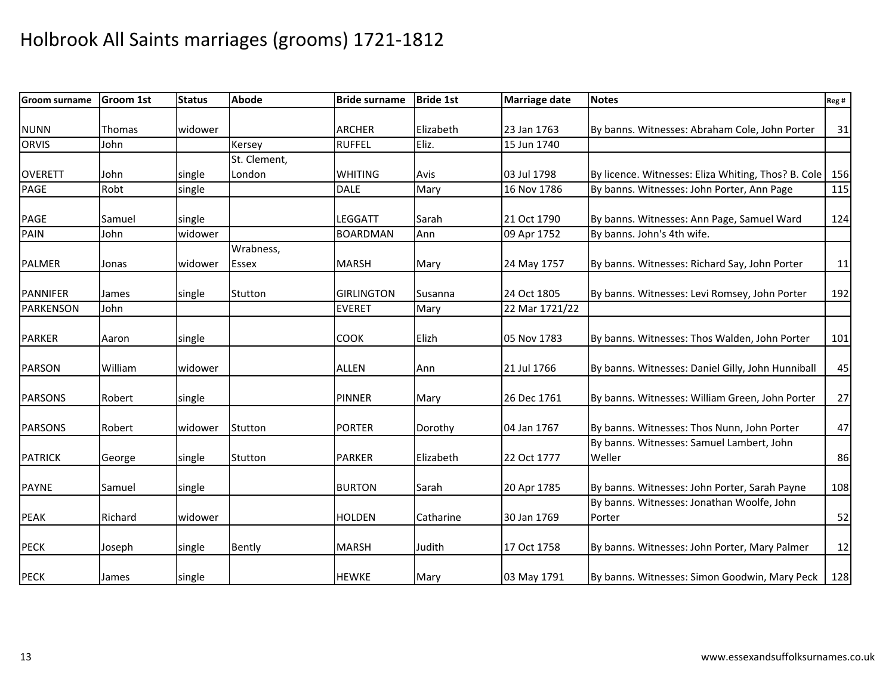| <b>Groom surname</b> | <b>Groom 1st</b> | <b>Status</b> | <b>Abode</b> | <b>Bride surname</b> | <b>Bride 1st</b> | <b>Marriage date</b> | <b>Notes</b>                                        | Reg# |
|----------------------|------------------|---------------|--------------|----------------------|------------------|----------------------|-----------------------------------------------------|------|
|                      |                  |               |              |                      |                  |                      |                                                     |      |
| <b>NUNN</b>          | Thomas           | widower       |              | <b>ARCHER</b>        | Elizabeth        | 23 Jan 1763          | By banns. Witnesses: Abraham Cole, John Porter      | 31   |
| <b>ORVIS</b>         | John             |               | Kersey       | <b>RUFFEL</b>        | Eliz.            | 15 Jun 1740          |                                                     |      |
|                      |                  |               | St. Clement, |                      |                  |                      |                                                     |      |
| <b>OVERETT</b>       | John             | single        | London       | <b>WHITING</b>       | Avis             | 03 Jul 1798          | By licence. Witnesses: Eliza Whiting, Thos? B. Cole | 156  |
| <b>PAGE</b>          | Robt             | single        |              | <b>DALE</b>          | Mary             | 16 Nov 1786          | By banns. Witnesses: John Porter, Ann Page          | 115  |
| <b>PAGE</b>          | Samuel           | single        |              | <b>LEGGATT</b>       | Sarah            | 21 Oct 1790          | By banns. Witnesses: Ann Page, Samuel Ward          | 124  |
| PAIN                 | John             | widower       |              | <b>BOARDMAN</b>      | Ann              | 09 Apr 1752          | By banns. John's 4th wife.                          |      |
|                      |                  |               | Wrabness,    |                      |                  |                      |                                                     |      |
| <b>PALMER</b>        | Jonas            | widower       | <b>Essex</b> | <b>MARSH</b>         | Mary             | 24 May 1757          | By banns. Witnesses: Richard Say, John Porter       | 11   |
| PANNIFER             | James            | single        | Stutton      | <b>GIRLINGTON</b>    | Susanna          | 24 Oct 1805          | By banns. Witnesses: Levi Romsey, John Porter       | 192  |
| PARKENSON            | John             |               |              | <b>EVERET</b>        | Mary             | 22 Mar 1721/22       |                                                     |      |
|                      |                  |               |              |                      |                  |                      |                                                     |      |
| <b>PARKER</b>        | Aaron            | single        |              | <b>COOK</b>          | Elizh            | 05 Nov 1783          | By banns. Witnesses: Thos Walden, John Porter       | 101  |
| <b>PARSON</b>        | William          | widower       |              | <b>ALLEN</b>         | Ann              | 21 Jul 1766          | By banns. Witnesses: Daniel Gilly, John Hunniball   | 45   |
| <b>PARSONS</b>       | Robert           | single        |              | <b>PINNER</b>        | Mary             | 26 Dec 1761          | By banns. Witnesses: William Green, John Porter     | 27   |
|                      |                  |               |              |                      |                  |                      |                                                     |      |
| <b>PARSONS</b>       | Robert           | widower       | Stutton      | <b>PORTER</b>        | Dorothy          | 04 Jan 1767          | By banns. Witnesses: Thos Nunn, John Porter         | 47   |
|                      |                  |               |              |                      |                  |                      | By banns. Witnesses: Samuel Lambert, John           |      |
| <b>PATRICK</b>       | George           | single        | Stutton      | <b>PARKER</b>        | Elizabeth        | 22 Oct 1777          | Weller                                              | 86   |
|                      |                  |               |              |                      |                  |                      |                                                     |      |
| <b>PAYNE</b>         | Samuel           | single        |              | <b>BURTON</b>        | Sarah            | 20 Apr 1785          | By banns. Witnesses: John Porter, Sarah Payne       | 108  |
|                      |                  |               |              |                      |                  |                      | By banns. Witnesses: Jonathan Woolfe, John          |      |
| <b>PEAK</b>          | Richard          | widower       |              | <b>HOLDEN</b>        | Catharine        | 30 Jan 1769          | Porter                                              | 52   |
| <b>PECK</b>          | Joseph           | single        | Bently       | <b>MARSH</b>         | Judith           | 17 Oct 1758          | By banns. Witnesses: John Porter, Mary Palmer       | 12   |
| <b>PECK</b>          | James            | single        |              | <b>HEWKE</b>         | Mary             | 03 May 1791          | By banns. Witnesses: Simon Goodwin, Mary Peck       | 128  |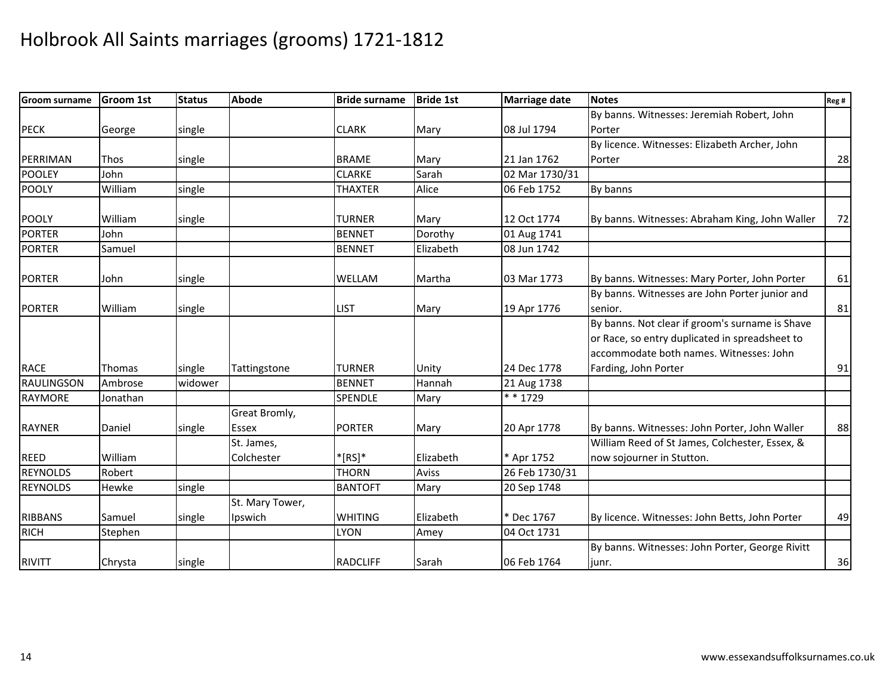| <b>Groom surname</b> | <b>Groom 1st</b> | <b>Status</b> | <b>Abode</b>           | <b>Bride surname</b> | <b>Bride 1st</b> | <b>Marriage date</b> | <b>Notes</b>                                                                                                                                 | Reg# |
|----------------------|------------------|---------------|------------------------|----------------------|------------------|----------------------|----------------------------------------------------------------------------------------------------------------------------------------------|------|
|                      |                  |               |                        |                      |                  |                      | By banns. Witnesses: Jeremiah Robert, John                                                                                                   |      |
| <b>PECK</b>          | George           | single        |                        | <b>CLARK</b>         | Mary             | 08 Jul 1794          | Porter                                                                                                                                       |      |
|                      |                  |               |                        |                      |                  |                      | By licence. Witnesses: Elizabeth Archer, John                                                                                                |      |
| PERRIMAN             | Thos             | single        |                        | <b>BRAME</b>         | Mary             | 21 Jan 1762          | Porter                                                                                                                                       | 28   |
| <b>POOLEY</b>        | John             |               |                        | <b>CLARKE</b>        | Sarah            | 02 Mar 1730/31       |                                                                                                                                              |      |
| <b>POOLY</b>         | William          | single        |                        | <b>THAXTER</b>       | Alice            | 06 Feb 1752          | By banns                                                                                                                                     |      |
| <b>POOLY</b>         | William          | single        |                        | <b>TURNER</b>        | Mary             | 12 Oct 1774          | By banns. Witnesses: Abraham King, John Waller                                                                                               | 72   |
| <b>PORTER</b>        | John             |               |                        | <b>BENNET</b>        | Dorothy          | 01 Aug 1741          |                                                                                                                                              |      |
| <b>PORTER</b>        | Samuel           |               |                        | <b>BENNET</b>        | Elizabeth        | 08 Jun 1742          |                                                                                                                                              |      |
| <b>PORTER</b>        | John             | single        |                        | WELLAM               | Martha           | 03 Mar 1773          | By banns. Witnesses: Mary Porter, John Porter                                                                                                | 61   |
| <b>PORTER</b>        | William          | single        |                        | <b>LIST</b>          | Mary             | 19 Apr 1776          | By banns. Witnesses are John Porter junior and<br>senior.                                                                                    | 81   |
|                      |                  |               |                        |                      |                  |                      | By banns. Not clear if groom's surname is Shave<br>or Race, so entry duplicated in spreadsheet to<br>accommodate both names. Witnesses: John |      |
| <b>RACE</b>          | Thomas           | single        | Tattingstone           | <b>TURNER</b>        | Unity            | 24 Dec 1778          | Farding, John Porter                                                                                                                         | 91   |
| RAULINGSON           | Ambrose          | widower       |                        | <b>BENNET</b>        | Hannah           | 21 Aug 1738          |                                                                                                                                              |      |
| <b>RAYMORE</b>       | Jonathan         |               |                        | SPENDLE              | Mary             | $* * 1729$           |                                                                                                                                              |      |
| <b>RAYNER</b>        | Daniel           | single        | Great Bromly,<br>Essex | <b>PORTER</b>        | Mary             | 20 Apr 1778          | By banns. Witnesses: John Porter, John Waller                                                                                                | 88   |
|                      |                  |               | St. James,             |                      |                  |                      | William Reed of St James, Colchester, Essex, &                                                                                               |      |
| <b>REED</b>          | William          |               | Colchester             | $*$ [RS] $*$         | Elizabeth        | * Apr 1752           | now sojourner in Stutton.                                                                                                                    |      |
| <b>REYNOLDS</b>      | Robert           |               |                        | <b>THORN</b>         | <b>Aviss</b>     | 26 Feb 1730/31       |                                                                                                                                              |      |
| <b>REYNOLDS</b>      | Hewke            | single        |                        | <b>BANTOFT</b>       | Mary             | 20 Sep 1748          |                                                                                                                                              |      |
|                      |                  |               | St. Mary Tower,        |                      |                  |                      |                                                                                                                                              |      |
| <b>RIBBANS</b>       | Samuel           | single        | Ipswich                | <b>WHITING</b>       | Elizabeth        | * Dec 1767           | By licence. Witnesses: John Betts, John Porter                                                                                               | 49   |
| <b>RICH</b>          | Stephen          |               |                        | <b>LYON</b>          | Amey             | 04 Oct 1731          |                                                                                                                                              |      |
|                      |                  |               |                        |                      |                  |                      | By banns. Witnesses: John Porter, George Rivitt                                                                                              |      |
| RIVITT               | Chrysta          | single        |                        | <b>RADCLIFF</b>      | Sarah            | 06 Feb 1764          | junr.                                                                                                                                        | 36   |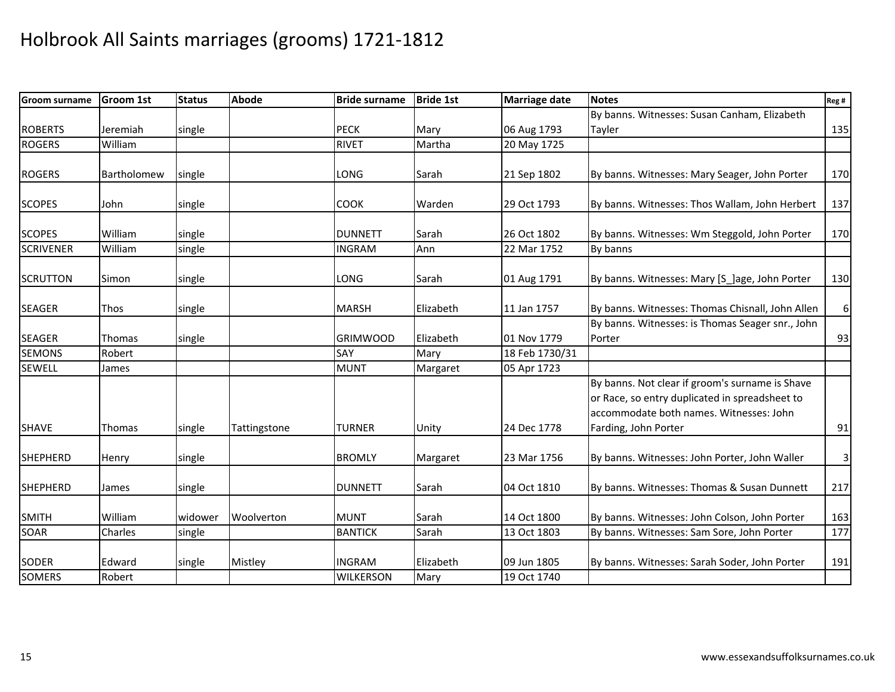| <b>Groom surname</b> | <b>Groom 1st</b> | <b>Status</b> | <b>Abode</b> | <b>Bride surname</b> | <b>Bride 1st</b> | <b>Marriage date</b> | <b>Notes</b>                                                                                                                                                         | Reg#                    |
|----------------------|------------------|---------------|--------------|----------------------|------------------|----------------------|----------------------------------------------------------------------------------------------------------------------------------------------------------------------|-------------------------|
|                      |                  |               |              |                      |                  |                      | By banns. Witnesses: Susan Canham, Elizabeth                                                                                                                         |                         |
| <b>ROBERTS</b>       | Jeremiah         | single        |              | <b>PECK</b>          | Mary             | 06 Aug 1793          | Tayler                                                                                                                                                               | 135                     |
| <b>ROGERS</b>        | William          |               |              | <b>RIVET</b>         | Martha           | 20 May 1725          |                                                                                                                                                                      |                         |
|                      |                  |               |              |                      |                  |                      |                                                                                                                                                                      |                         |
| <b>ROGERS</b>        | Bartholomew      | single        |              | <b>LONG</b>          | Sarah            | 21 Sep 1802          | By banns. Witnesses: Mary Seager, John Porter                                                                                                                        | 170                     |
| <b>SCOPES</b>        | John             | single        |              | <b>COOK</b>          | Warden           | 29 Oct 1793          | By banns. Witnesses: Thos Wallam, John Herbert                                                                                                                       | 137                     |
| <b>SCOPES</b>        | William          | single        |              | <b>DUNNETT</b>       | Sarah            | 26 Oct 1802          | By banns. Witnesses: Wm Steggold, John Porter                                                                                                                        | 170                     |
| <b>SCRIVENER</b>     | William          | single        |              | <b>INGRAM</b>        | Ann              | 22 Mar 1752          | By banns                                                                                                                                                             |                         |
| <b>SCRUTTON</b>      | Simon            | single        |              | <b>LONG</b>          | Sarah            | 01 Aug 1791          | By banns. Witnesses: Mary [S_]age, John Porter                                                                                                                       | 130                     |
| <b>SEAGER</b>        | Thos             | single        |              | <b>MARSH</b>         | Elizabeth        | 11 Jan 1757          | By banns. Witnesses: Thomas Chisnall, John Allen                                                                                                                     | 6 <sup>1</sup>          |
|                      |                  |               |              |                      |                  |                      | By banns. Witnesses: is Thomas Seager snr., John                                                                                                                     |                         |
| <b>SEAGER</b>        | Thomas           | single        |              | <b>GRIMWOOD</b>      | Elizabeth        | 01 Nov 1779          | Porter                                                                                                                                                               | 93                      |
| <b>SEMONS</b>        | Robert           |               |              | SAY                  | Mary             | 18 Feb 1730/31       |                                                                                                                                                                      |                         |
| <b>SEWELL</b>        | James            |               |              | <b>MUNT</b>          | Margaret         | 05 Apr 1723          |                                                                                                                                                                      |                         |
| <b>SHAVE</b>         | Thomas           | single        | Tattingstone | <b>TURNER</b>        | Unity            | 24 Dec 1778          | By banns. Not clear if groom's surname is Shave<br>or Race, so entry duplicated in spreadsheet to<br>accommodate both names. Witnesses: John<br>Farding, John Porter | 91                      |
|                      |                  |               |              |                      |                  |                      |                                                                                                                                                                      |                         |
| <b>SHEPHERD</b>      | Henry            | single        |              | <b>BROMLY</b>        | Margaret         | 23 Mar 1756          | By banns. Witnesses: John Porter, John Waller                                                                                                                        | $\overline{\mathbf{3}}$ |
| <b>SHEPHERD</b>      | James            | single        |              | <b>DUNNETT</b>       | Sarah            | 04 Oct 1810          | By banns. Witnesses: Thomas & Susan Dunnett                                                                                                                          | 217                     |
| <b>SMITH</b>         | William          | widower       | Woolverton   | <b>MUNT</b>          | Sarah            | 14 Oct 1800          | By banns. Witnesses: John Colson, John Porter                                                                                                                        | 163                     |
| <b>SOAR</b>          | Charles          | single        |              | <b>BANTICK</b>       | Sarah            | 13 Oct 1803          | By banns. Witnesses: Sam Sore, John Porter                                                                                                                           | 177                     |
| <b>SODER</b>         | Edward           | single        | Mistley      | <b>INGRAM</b>        | Elizabeth        | 09 Jun 1805          | By banns. Witnesses: Sarah Soder, John Porter                                                                                                                        | 191                     |
| <b>SOMERS</b>        | Robert           |               |              | <b>WILKERSON</b>     | Mary             | 19 Oct 1740          |                                                                                                                                                                      |                         |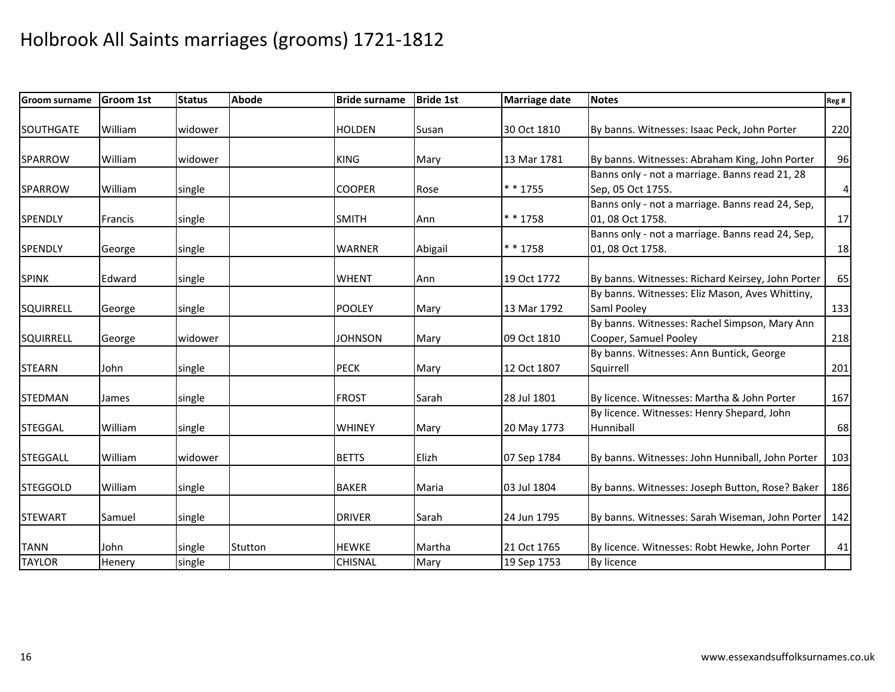| <b>Groom surname</b> | <b>Groom 1st</b> | <b>Status</b> | <b>Abode</b> | <b>Bride surname</b> | <b>Bride 1st</b> | <b>Marriage date</b> | <b>Notes</b>                                      | Reg # |
|----------------------|------------------|---------------|--------------|----------------------|------------------|----------------------|---------------------------------------------------|-------|
|                      |                  |               |              |                      |                  |                      |                                                   |       |
| <b>SOUTHGATE</b>     | William          | widower       |              | <b>HOLDEN</b>        | Susan            | 30 Oct 1810          | By banns. Witnesses: Isaac Peck, John Porter      | 220   |
| SPARROW              | William          | widower       |              | <b>KING</b>          | Mary             | 13 Mar 1781          | By banns. Witnesses: Abraham King, John Porter    | 96    |
|                      |                  |               |              |                      |                  |                      | Banns only - not a marriage. Banns read 21, 28    |       |
| SPARROW              | William          |               |              | <b>COOPER</b>        |                  | $* * 1755$           | Sep, 05 Oct 1755.                                 | 4     |
|                      |                  | single        |              |                      | Rose             |                      | Banns only - not a marriage. Banns read 24, Sep,  |       |
| <b>SPENDLY</b>       | Francis          | single        |              | <b>SMITH</b>         | Ann              | $* * 1758$           | 01, 08 Oct 1758.                                  | 17    |
|                      |                  |               |              |                      |                  |                      | Banns only - not a marriage. Banns read 24, Sep,  |       |
|                      |                  |               |              | <b>WARNER</b>        |                  | * * 1758             | 01, 08 Oct 1758.                                  |       |
| <b>SPENDLY</b>       | George           | single        |              |                      | Abigail          |                      |                                                   | 18    |
| <b>SPINK</b>         | Edward           | single        |              | <b>WHENT</b>         | Ann              | 19 Oct 1772          | By banns. Witnesses: Richard Keirsey, John Porter | 65    |
|                      |                  |               |              |                      |                  |                      | By banns. Witnesses: Eliz Mason, Aves Whittiny,   |       |
| <b>SQUIRRELL</b>     | George           | single        |              | <b>POOLEY</b>        | Mary             | 13 Mar 1792          | Saml Pooley                                       | 133   |
|                      |                  |               |              |                      |                  |                      | By banns. Witnesses: Rachel Simpson, Mary Ann     |       |
| <b>SQUIRRELL</b>     |                  | widower       |              | <b>JOHNSON</b>       | Mary             | 09 Oct 1810          | Cooper, Samuel Pooley                             |       |
|                      | George           |               |              |                      |                  |                      | By banns. Witnesses: Ann Buntick, George          | 218   |
| <b>STEARN</b>        | John             |               |              | <b>PECK</b>          |                  | 12 Oct 1807          |                                                   |       |
|                      |                  | single        |              |                      | Mary             |                      | Squirrell                                         | 201   |
| <b>STEDMAN</b>       | James            | single        |              | <b>FROST</b>         | Sarah            | 28 Jul 1801          | By licence. Witnesses: Martha & John Porter       | 167   |
|                      |                  |               |              |                      |                  |                      | By licence. Witnesses: Henry Shepard, John        |       |
| <b>STEGGAL</b>       | William          | single        |              | <b>WHINEY</b>        | Mary             | 20 May 1773          | <b>Hunniball</b>                                  | 68    |
|                      |                  |               |              |                      |                  |                      |                                                   |       |
| <b>STEGGALL</b>      | William          | widower       |              | <b>BETTS</b>         | Elizh            | 07 Sep 1784          | By banns. Witnesses: John Hunniball, John Porter  | 103   |
|                      |                  |               |              |                      |                  |                      |                                                   |       |
| <b>STEGGOLD</b>      | William          | single        |              | <b>BAKER</b>         | Maria            | 03 Jul 1804          | By banns. Witnesses: Joseph Button, Rose? Baker   | 186   |
|                      |                  |               |              |                      |                  |                      |                                                   |       |
| <b>STEWART</b>       | Samuel           | single        |              | <b>DRIVER</b>        | Sarah            | 24 Jun 1795          | By banns. Witnesses: Sarah Wiseman, John Porter   | 142   |
|                      |                  |               |              |                      |                  |                      |                                                   |       |
| <b>TANN</b>          | John             | single        | Stutton      | <b>HEWKE</b>         | Martha           | 21 Oct 1765          | By licence. Witnesses: Robt Hewke, John Porter    | 41    |
| <b>TAYLOR</b>        | Henery           | single        |              | <b>CHISNAL</b>       | Mary             | 19 Sep 1753          | By licence                                        |       |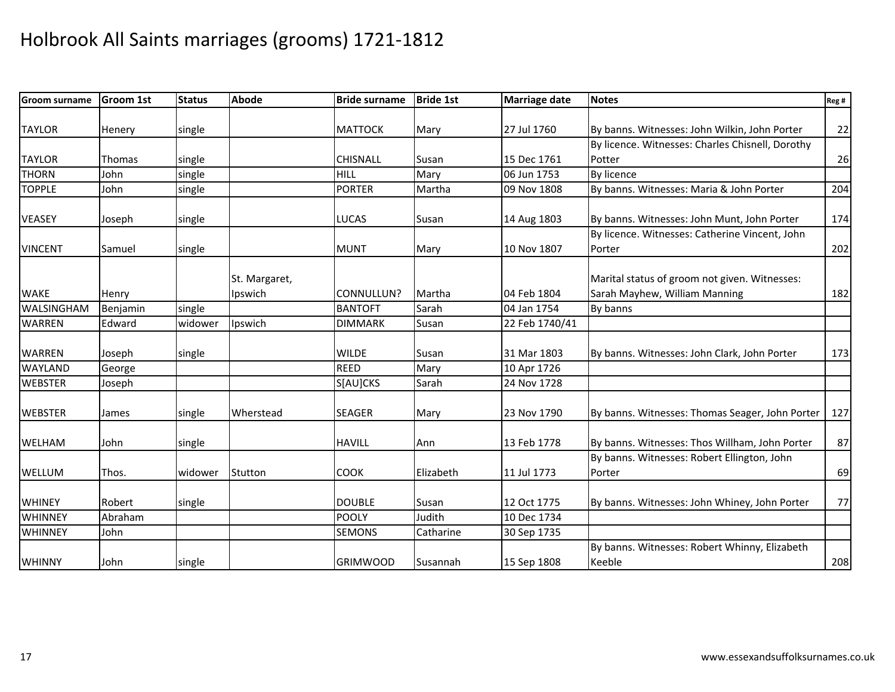| <b>Groom surname</b> | <b>Groom 1st</b> | <b>Status</b> | <b>Abode</b>  | <b>Bride surname</b> | <b>Bride 1st</b> | <b>Marriage date</b> | <b>Notes</b>                                     | Reg # |
|----------------------|------------------|---------------|---------------|----------------------|------------------|----------------------|--------------------------------------------------|-------|
|                      |                  |               |               |                      |                  |                      |                                                  |       |
| <b>TAYLOR</b>        | Henery           | single        |               | <b>MATTOCK</b>       | Mary             | 27 Jul 1760          | By banns. Witnesses: John Wilkin, John Porter    | 22    |
|                      |                  |               |               |                      |                  |                      | By licence. Witnesses: Charles Chisnell, Dorothy |       |
| <b>TAYLOR</b>        | Thomas           | single        |               | CHISNALL             | Susan            | 15 Dec 1761          | Potter                                           | 26    |
| <b>THORN</b>         | John             | single        |               | <b>HILL</b>          | Mary             | 06 Jun 1753          | By licence                                       |       |
| <b>TOPPLE</b>        | John             | single        |               | <b>PORTER</b>        | Martha           | 09 Nov 1808          | By banns. Witnesses: Maria & John Porter         | 204   |
| <b>VEASEY</b>        | Joseph           | single        |               | <b>LUCAS</b>         | Susan            | 14 Aug 1803          | By banns. Witnesses: John Munt, John Porter      | 174   |
|                      |                  |               |               |                      |                  |                      | By licence. Witnesses: Catherine Vincent, John   |       |
| <b>VINCENT</b>       | Samuel           | single        |               | <b>MUNT</b>          | Mary             | 10 Nov 1807          | Porter                                           | 202   |
|                      |                  |               |               |                      |                  |                      |                                                  |       |
|                      |                  |               | St. Margaret, |                      |                  |                      | Marital status of groom not given. Witnesses:    |       |
| <b>WAKE</b>          | Henry            |               | Ipswich       | CONNULLUN?           | Martha           | 04 Feb 1804          | Sarah Mayhew, William Manning                    | 182   |
| WALSINGHAM           | Benjamin         | single        |               | <b>BANTOFT</b>       | Sarah            | 04 Jan 1754          | By banns                                         |       |
| <b>WARREN</b>        | Edward           | widower       | Ipswich       | <b>DIMMARK</b>       | Susan            | 22 Feb 1740/41       |                                                  |       |
| <b>WARREN</b>        | Joseph           | single        |               | <b>WILDE</b>         | Susan            | 31 Mar 1803          | By banns. Witnesses: John Clark, John Porter     | 173   |
| <b>WAYLAND</b>       | George           |               |               | <b>REED</b>          | Mary             | 10 Apr 1726          |                                                  |       |
| <b>WEBSTER</b>       | Joseph           |               |               | S[AU]CKS             | Sarah            | 24 Nov 1728          |                                                  |       |
| <b>WEBSTER</b>       | James            | single        | Wherstead     | <b>SEAGER</b>        | Mary             | 23 Nov 1790          | By banns. Witnesses: Thomas Seager, John Porter  | 127   |
| <b>WELHAM</b>        | John             | single        |               | <b>HAVILL</b>        | Ann              | 13 Feb 1778          | By banns. Witnesses: Thos Willham, John Porter   | 87    |
|                      |                  |               |               |                      |                  |                      | By banns. Witnesses: Robert Ellington, John      |       |
| WELLUM               | Thos.            | widower       | Stutton       | COOK                 | Elizabeth        | 11 Jul 1773          | Porter                                           | 69    |
| <b>WHINEY</b>        | Robert           | single        |               | <b>DOUBLE</b>        | Susan            | 12 Oct 1775          | By banns. Witnesses: John Whiney, John Porter    | 77    |
| <b>WHINNEY</b>       | Abraham          |               |               | <b>POOLY</b>         | Judith           | 10 Dec 1734          |                                                  |       |
| <b>WHINNEY</b>       | John             |               |               | <b>SEMONS</b>        | Catharine        | 30 Sep 1735          |                                                  |       |
|                      |                  |               |               |                      |                  |                      | By banns. Witnesses: Robert Whinny, Elizabeth    |       |
| <b>WHINNY</b>        | John             | single        |               | <b>GRIMWOOD</b>      | Susannah         | 15 Sep 1808          | Keeble                                           | 208   |